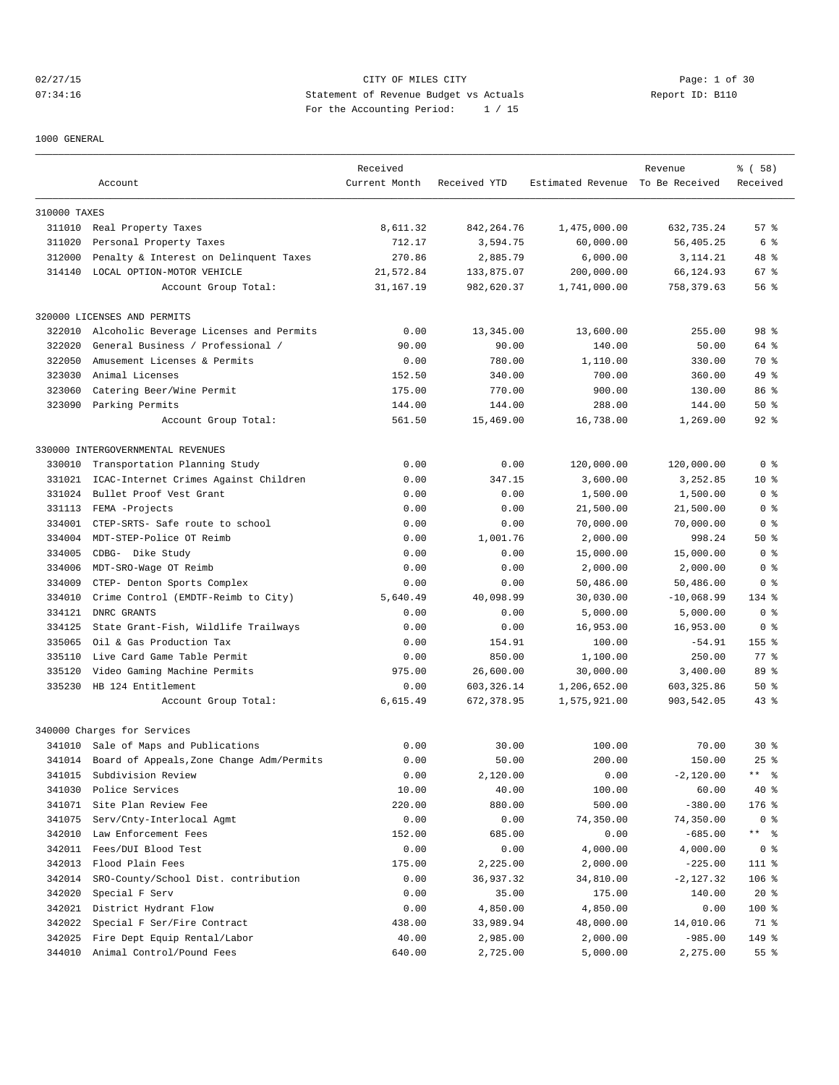## 02/27/15 CITY OF MILES CITY Page: 1 of 30 07:34:16 Statement of Revenue Budget vs Actuals Report ID: B110 For the Accounting Period: 1 / 15

1000 GENERAL

|              | Account                                    | Received<br>Current Month | Received YTD              | Estimated Revenue To Be Received | Revenue                   | % ( 58 )<br>Received |
|--------------|--------------------------------------------|---------------------------|---------------------------|----------------------------------|---------------------------|----------------------|
|              |                                            |                           |                           |                                  |                           |                      |
| 310000 TAXES |                                            |                           |                           |                                  |                           |                      |
|              | 311010 Real Property Taxes                 | 8,611.32                  | 842, 264. 76              | 1,475,000.00                     | 632,735.24                | 57%                  |
| 311020       | Personal Property Taxes                    | 712.17                    | 3,594.75                  | 60,000.00                        | 56,405.25                 | 6 %                  |
| 312000       | Penalty & Interest on Delinquent Taxes     | 270.86                    | 2,885.79                  | 6,000.00                         | 3, 114. 21                | 48 %                 |
| 314140       | LOCAL OPTION-MOTOR VEHICLE                 | 21,572.84                 | 133,875.07                | 200,000.00                       | 66,124.93                 | 67%                  |
|              | Account Group Total:                       | 31, 167. 19               | 982,620.37                | 1,741,000.00                     | 758,379.63                | 56%                  |
|              | 320000 LICENSES AND PERMITS                |                           |                           |                                  |                           |                      |
| 322010       | Alcoholic Beverage Licenses and Permits    | 0.00                      | 13,345.00                 | 13,600.00                        | 255.00                    | 98 <sup>8</sup>      |
| 322020       | General Business / Professional /          | 90.00                     | 90.00                     | 140.00                           | 50.00                     | 64 %                 |
| 322050       | Amusement Licenses & Permits               | 0.00                      | 780.00                    | 1,110.00                         | 330.00                    | 70 %                 |
| 323030       | Animal Licenses                            | 152.50                    | 340.00                    | 700.00                           | 360.00                    | 49 %                 |
| 323060       | Catering Beer/Wine Permit                  | 175.00                    | 770.00                    | 900.00                           | 130.00                    | 86 %                 |
| 323090       | Parking Permits                            | 144.00                    | 144.00                    | 288.00                           | 144.00                    | 50%                  |
|              | Account Group Total:                       | 561.50                    | 15,469.00                 | 16,738.00                        | 1,269.00                  | $92$ $%$             |
|              | 330000 INTERGOVERNMENTAL REVENUES          |                           |                           |                                  |                           |                      |
| 330010       | Transportation Planning Study              | 0.00                      | 0.00                      | 120,000.00                       | 120,000.00                | 0 <sup>8</sup>       |
| 331021       | ICAC-Internet Crimes Against Children      | 0.00                      | 347.15                    | 3,600.00                         | 3,252.85                  | $10*$                |
| 331024       | Bullet Proof Vest Grant                    | 0.00                      | 0.00                      | 1,500.00                         | 1,500.00                  | 0 <sup>8</sup>       |
| 331113       | FEMA -Projects                             | 0.00                      | 0.00                      | 21,500.00                        | 21,500.00                 | 0 %                  |
| 334001       | CTEP-SRTS- Safe route to school            | 0.00                      | 0.00                      | 70,000.00                        | 70,000.00                 | 0 <sub>8</sub>       |
| 334004       | MDT-STEP-Police OT Reimb                   | 0.00                      | 1,001.76                  | 2,000.00                         | 998.24                    | 50%                  |
| 334005       | CDBG- Dike Study                           | 0.00                      | 0.00                      | 15,000.00                        | 15,000.00                 | 0 <sup>8</sup>       |
| 334006       | MDT-SRO-Wage OT Reimb                      | 0.00                      | 0.00                      | 2,000.00                         | 2,000.00                  | 0 <sub>8</sub>       |
| 334009       | CTEP- Denton Sports Complex                | 0.00                      | 0.00                      | 50,486.00                        | 50,486.00                 | 0 %                  |
| 334010       | Crime Control (EMDTF-Reimb to City)        | 5,640.49                  | 40,098.99                 | 30,030.00                        | $-10,068.99$              | 134 %                |
| 334121       | DNRC GRANTS                                | 0.00                      | 0.00                      | 5,000.00                         | 5,000.00                  | 0 <sub>8</sub>       |
| 334125       | State Grant-Fish, Wildlife Trailways       | 0.00                      | 0.00                      | 16,953.00                        | 16,953.00                 | 0 <sub>8</sub>       |
| 335065       | Oil & Gas Production Tax                   | 0.00                      | 154.91                    | 100.00                           | $-54.91$                  | $155$ %              |
| 335110       | Live Card Game Table Permit                | 0.00                      | 850.00                    |                                  | 250.00                    | 77.8                 |
|              |                                            |                           |                           | 1,100.00                         |                           |                      |
| 335120       | Video Gaming Machine Permits               | 975.00                    | 26,600.00                 | 30,000.00                        | 3,400.00                  | 89 %                 |
| 335230       | HB 124 Entitlement<br>Account Group Total: | 0.00<br>6,615.49          | 603, 326.14<br>672,378.95 | 1,206,652.00<br>1,575,921.00     | 603, 325.86<br>903,542.05 | 50%<br>$43$ %        |
|              |                                            |                           |                           |                                  |                           |                      |
|              | 340000 Charges for Services                |                           |                           |                                  |                           |                      |
|              | 341010 Sale of Maps and Publications       | 0.00                      | 30.00                     | 100.00                           | 70.00                     | $30*$                |
| 341014       | Board of Appeals, Zone Change Adm/Permits  | 0.00                      | 50.00                     | 200.00                           | 150.00                    | $25$ $%$             |
| 341015       | Subdivision Review                         | 0.00                      | 2,120.00                  | 0.00                             | $-2,120.00$               | ** 응                 |
| 341030       | Police Services                            | 10.00                     | 40.00                     | 100.00                           | 60.00                     | $40*$                |
| 341071       | Site Plan Review Fee                       | 220.00                    | 880.00                    | 500.00                           | $-380.00$                 | 176 %                |
| 341075       | Serv/Cnty-Interlocal Agmt                  | 0.00                      | 0.00                      | 74,350.00                        | 74,350.00                 | 0 <sub>8</sub>       |
| 342010       | Law Enforcement Fees                       | 152.00                    | 685.00                    | 0.00                             | $-685.00$                 | ** 응                 |
| 342011       | Fees/DUI Blood Test                        | 0.00                      | 0.00                      | 4,000.00                         | 4,000.00                  | 0 <sup>8</sup>       |
| 342013       | Flood Plain Fees                           | 175.00                    | 2,225.00                  | 2,000.00                         | $-225.00$                 | 111 %                |
| 342014       | SRO-County/School Dist. contribution       | 0.00                      | 36,937.32                 | 34,810.00                        | $-2,127.32$               | $106$ %              |
| 342020       | Special F Serv                             | 0.00                      | 35.00                     | 175.00                           | 140.00                    | $20*$                |
| 342021       | District Hydrant Flow                      | 0.00                      | 4,850.00                  | 4,850.00                         | 0.00                      | 100 %                |
| 342022       | Special F Ser/Fire Contract                | 438.00                    | 33,989.94                 | 48,000.00                        | 14,010.06                 | 71 %                 |
| 342025       | Fire Dept Equip Rental/Labor               | 40.00                     | 2,985.00                  | 2,000.00                         | $-985.00$                 | 149 %                |
| 344010       | Animal Control/Pound Fees                  | 640.00                    | 2,725.00                  | 5,000.00                         | 2,275.00                  | 55 %                 |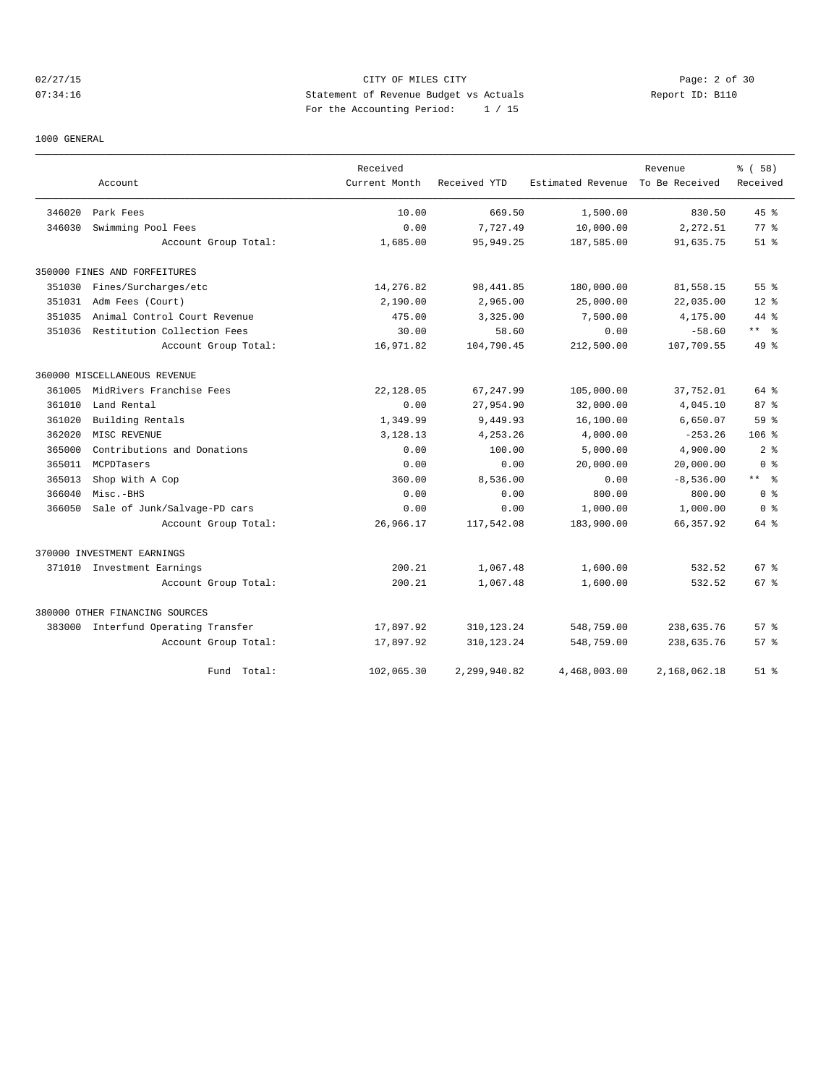## 02/27/15 CITY OF MILES CITY Page: 2 of 30 07:34:16 Statement of Revenue Budget vs Actuals Report ID: B110 For the Accounting Period: 1 / 15

#### 1000 GENERAL

|        |                                     | Received      |              |                   | Revenue        | % ( 58 )         |
|--------|-------------------------------------|---------------|--------------|-------------------|----------------|------------------|
|        | Account                             | Current Month | Received YTD | Estimated Revenue | To Be Received | Received         |
| 346020 | Park Fees                           | 10.00         | 669.50       | 1,500.00          | 830.50         | 45%              |
| 346030 | Swimming Pool Fees                  | 0.00          | 7,727.49     | 10,000.00         | 2,272.51       | 77.8             |
|        | Account Group Total:                | 1,685.00      | 95, 949.25   | 187,585.00        | 91,635.75      | $51$ $%$         |
|        | 350000 FINES AND FORFEITURES        |               |              |                   |                |                  |
| 351030 | Fines/Surcharges/etc                | 14,276.82     | 98, 441.85   | 180,000.00        | 81,558.15      | 55 <sup>8</sup>  |
| 351031 | Adm Fees (Court)                    | 2,190.00      | 2,965.00     | 25,000.00         | 22,035.00      | $12*$            |
| 351035 | Animal Control Court Revenue        | 475.00        | 3,325.00     | 7,500.00          | 4,175.00       | $44$ $%$         |
| 351036 | Restitution Collection Fees         | 30.00         | 58.60        | 0.00              | $-58.60$       | $***$ 8          |
|        | Account Group Total:                | 16,971.82     | 104,790.45   | 212,500.00        | 107,709.55     | 49 %             |
|        | 360000 MISCELLANEOUS REVENUE        |               |              |                   |                |                  |
| 361005 | MidRivers Franchise Fees            | 22,128.05     | 67, 247.99   | 105,000.00        | 37,752.01      | 64 %             |
| 361010 | Land Rental                         | 0.00          | 27,954.90    | 32,000.00         | 4,045.10       | 87%              |
| 361020 | Building Rentals                    | 1,349.99      | 9,449.93     | 16,100.00         | 6,650.07       | 59 %             |
| 362020 | MISC REVENUE                        | 3,128.13      | 4,253.26     | 4,000.00          | $-253.26$      | 106 <sup>°</sup> |
| 365000 | Contributions and Donations         | 0.00          | 100.00       | 5,000.00          | 4,900.00       | 2 <sup>8</sup>   |
| 365011 | MCPDTasers                          | 0.00          | 0.00         | 20,000.00         | 20,000.00      | 0 <sup>8</sup>   |
| 365013 | Shop With A Cop                     | 360.00        | 8,536.00     | 0.00              | $-8,536.00$    | $***$ $ -$       |
| 366040 | Misc.-BHS                           | 0.00          | 0.00         | 800.00            | 800.00         | 0 <sup>8</sup>   |
| 366050 | Sale of Junk/Salvage-PD cars        | 0.00          | 0.00         | 1,000.00          | 1,000.00       | 0 <sup>8</sup>   |
|        | Account Group Total:                | 26,966.17     | 117,542.08   | 183,900.00        | 66, 357.92     | 64 %             |
|        | 370000 INVESTMENT EARNINGS          |               |              |                   |                |                  |
|        | 371010 Investment Earnings          | 200.21        | 1,067.48     | 1,600.00          | 532.52         | 67 <sup>8</sup>  |
|        | Account Group Total:                | 200.21        | 1,067.48     | 1,600.00          | 532.52         | 67 <sup>8</sup>  |
|        | 380000 OTHER FINANCING SOURCES      |               |              |                   |                |                  |
|        | 383000 Interfund Operating Transfer | 17,897.92     | 310, 123. 24 | 548,759.00        | 238,635.76     | 57%              |
|        | Account Group Total:                | 17,897.92     | 310, 123. 24 | 548,759.00        | 238,635.76     | 57%              |
|        | Fund Total:                         | 102,065.30    | 2,299,940.82 | 4,468,003.00      | 2,168,062.18   | $51$ %           |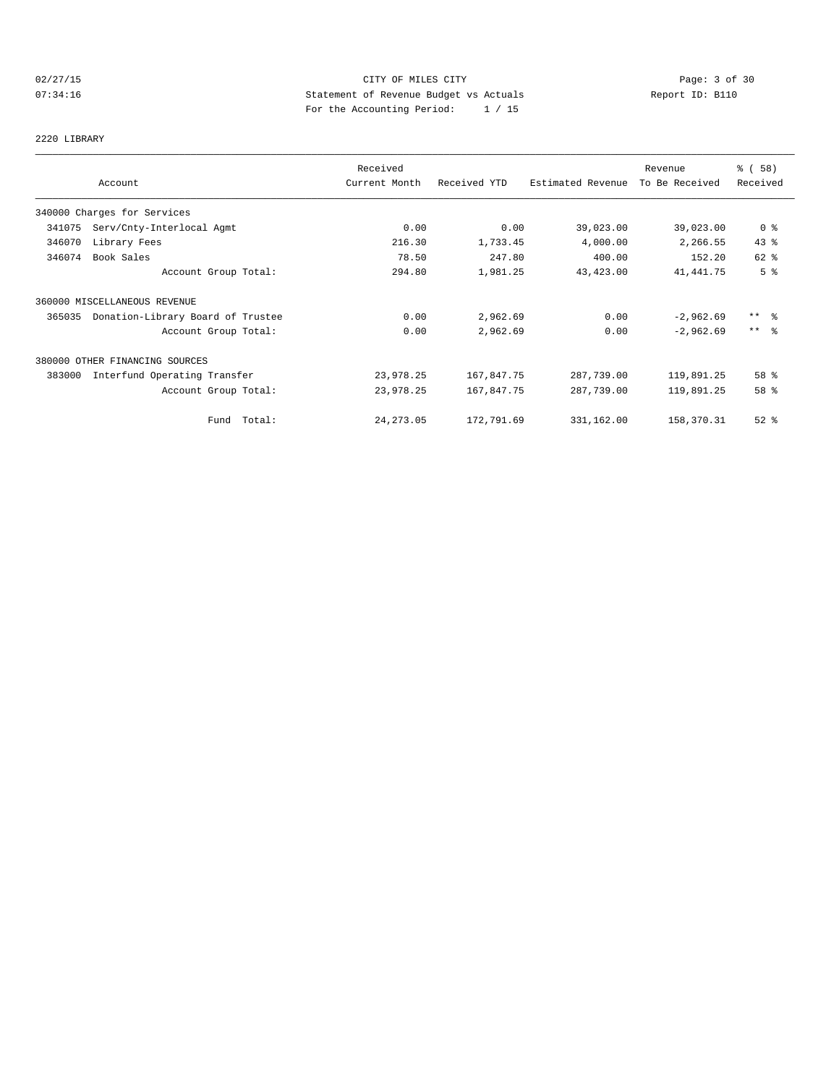## 02/27/15 CITY OF MILES CITY Page: 3 of 30<br>07:34:16 CITY Page: 3 of 30<br>07:34:16 CITY Page: 3 of 30<br>07:34:16 CITY Page: 2 of 30 07:34:16 Statement of Revenue Budget vs Actuals Report ID: B110 For the Accounting Period: 1 / 15

2220 LIBRARY

|        |                                   | Received      |              |                   | Revenue        | % (58)          |
|--------|-----------------------------------|---------------|--------------|-------------------|----------------|-----------------|
|        | Account                           | Current Month | Received YTD | Estimated Revenue | To Be Received | Received        |
|        | 340000 Charges for Services       |               |              |                   |                |                 |
| 341075 | Serv/Cnty-Interlocal Agmt         | 0.00          | 0.00         | 39,023.00         | 39,023.00      | 0 <sup>8</sup>  |
| 346070 | Library Fees                      | 216.30        | 1,733.45     | 4,000.00          | 2,266.55       | 43%             |
| 346074 | Book Sales                        | 78.50         | 247.80       | 400.00            | 152.20         | $62$ $%$        |
|        | Account Group Total:              | 294.80        | 1,981.25     | 43, 423.00        | 41, 441.75     | 5 <sup>°</sup>  |
|        | 360000 MISCELLANEOUS REVENUE      |               |              |                   |                |                 |
| 365035 | Donation-Library Board of Trustee | 0.00          | 2,962.69     | 0.00              | $-2,962.69$    | $***$ $\approx$ |
|        | Account Group Total:              | 0.00          | 2,962.69     | 0.00              | $-2,962.69$    | $***$ 2         |
|        | 380000 OTHER FINANCING SOURCES    |               |              |                   |                |                 |
| 383000 | Interfund Operating Transfer      | 23,978.25     | 167,847.75   | 287,739.00        | 119,891.25     | 58 %            |
|        | Account Group Total:              | 23,978.25     | 167,847.75   | 287,739.00        | 119,891.25     | 58 %            |
|        | Fund Total:                       | 24, 273.05    | 172,791.69   | 331,162.00        | 158,370.31     | $52$ $%$        |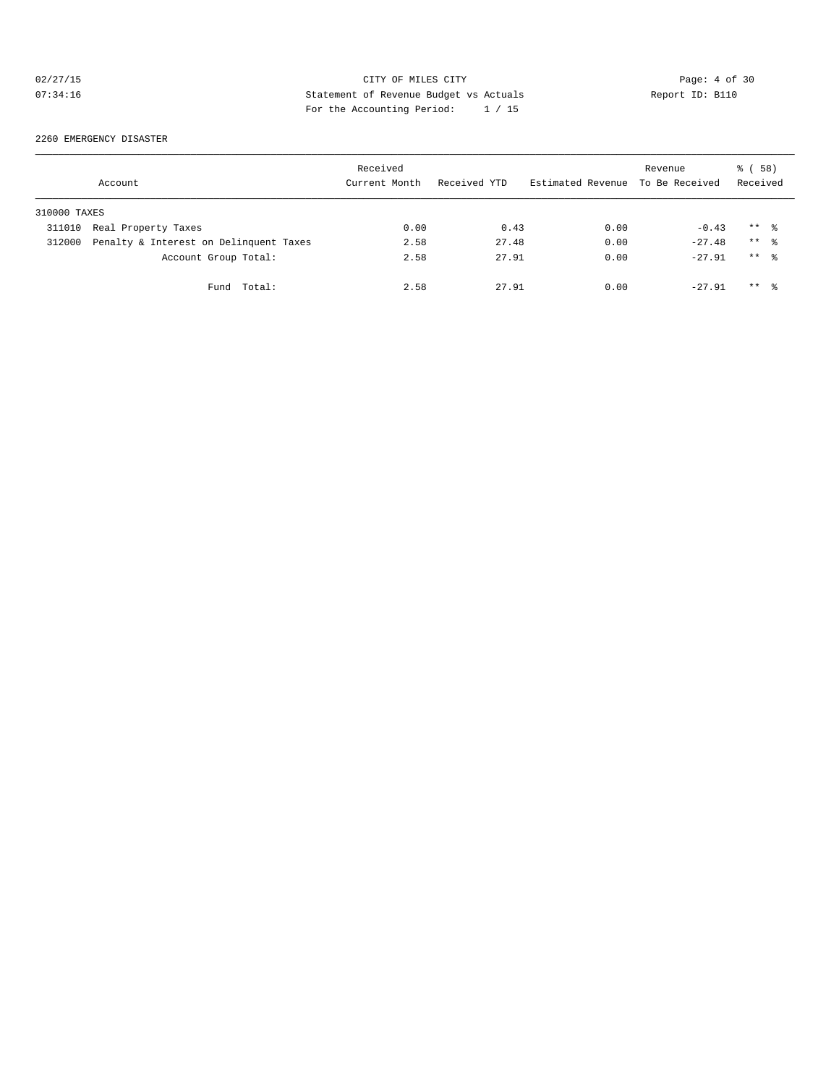## 02/27/15 CITY OF MILES CITY Page: 4 of 30<br>07:34:16 CITY Page: 4 of 30<br>07:34:16 CITY Page: 4 of 30<br>07:34:16 CITY Page: 4 of 30 07:34:16 Statement of Revenue Budget vs Actuals Report ID: B110 For the Accounting Period: 1 / 15

2260 EMERGENCY DISASTER

|              | Account                                | Received<br>Current Month | Received YTD | Estimated Revenue | Revenue<br>To Be Received | 58)<br>ී (<br>Received |
|--------------|----------------------------------------|---------------------------|--------------|-------------------|---------------------------|------------------------|
| 310000 TAXES |                                        |                           |              |                   |                           |                        |
| 311010       | Real Property Taxes                    | 0.00                      | 0.43         | 0.00              | $-0.43$                   | $***$ %                |
| 312000       | Penalty & Interest on Delinquent Taxes | 2.58                      | 27.48        | 0.00              | $-27.48$                  | $***$ %                |
|              | Account Group Total:                   | 2.58                      | 27.91        | 0.00              | $-27.91$                  | $***$ $\approx$        |
|              | Fund Total:                            | 2.58                      | 27.91        | 0.00              | $-27.91$                  | $***$ %                |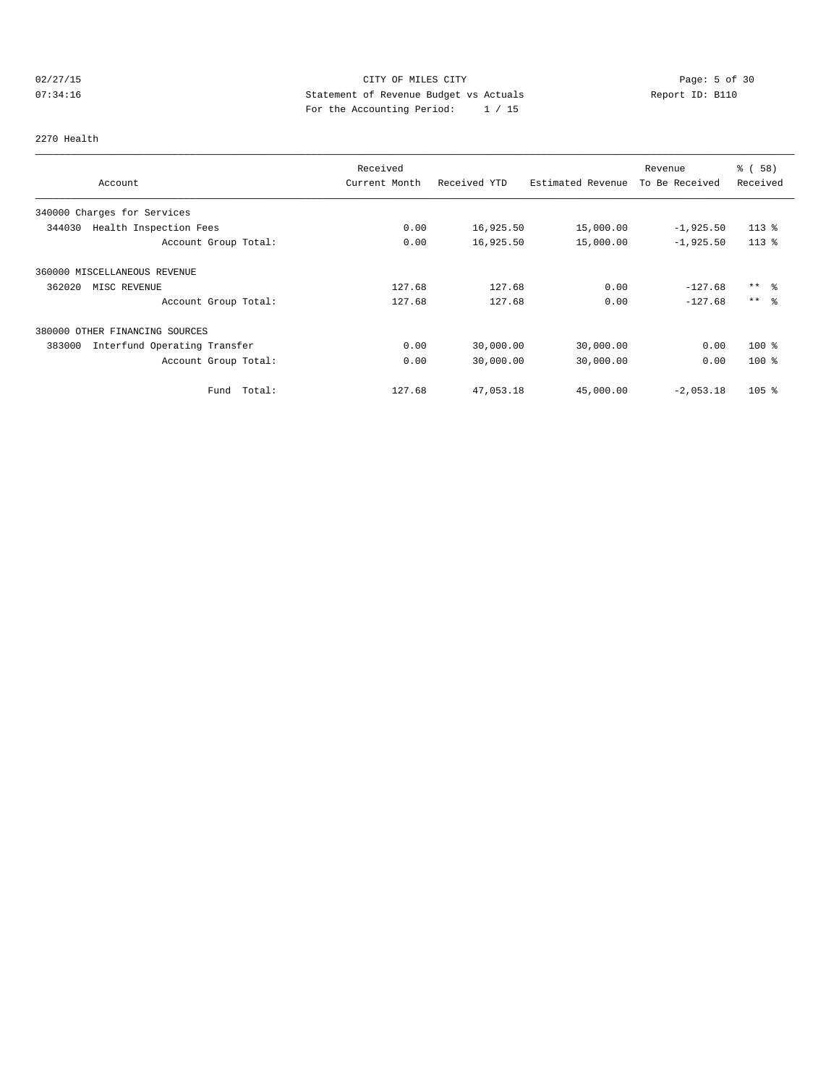## 02/27/15 CITY OF MILES CITY Page: 5 of 30<br>07:34:16 CITY Page: 5 of 30<br>07:34:16 CITY Page: 5 of 30<br>07:34:16 CITY Page: 5 of 30 07:34:16 Statement of Revenue Budget vs Actuals Report ID: B110 For the Accounting Period: 1 / 15

#### 2270 Health

|                                        | Received      |              |                   | Revenue        | 8 ( 58 ) |
|----------------------------------------|---------------|--------------|-------------------|----------------|----------|
| Account                                | Current Month | Received YTD | Estimated Revenue | To Be Received | Received |
| 340000 Charges for Services            |               |              |                   |                |          |
| 344030<br>Health Inspection Fees       | 0.00          | 16,925.50    | 15,000.00         | $-1,925.50$    | $113*$   |
| Account Group Total:                   | 0.00          | 16,925.50    | 15,000.00         | $-1,925.50$    | $113*$   |
| 360000 MISCELLANEOUS REVENUE           |               |              |                   |                |          |
| 362020<br>MISC REVENUE                 | 127.68        | 127.68       | 0.00              | $-127.68$      | $***$ %  |
| Account Group Total:                   | 127.68        | 127.68       | 0.00              | $-127.68$      | $***$ %  |
| 380000 OTHER FINANCING SOURCES         |               |              |                   |                |          |
| 383000<br>Interfund Operating Transfer | 0.00          | 30,000.00    | 30,000.00         | 0.00           | $100*$   |
| Account Group Total:                   | 0.00          | 30,000.00    | 30,000.00         | 0.00           | $100*$   |
| Total:<br>Fund                         | 127.68        | 47,053.18    | 45,000.00         | $-2,053.18$    | $105$ %  |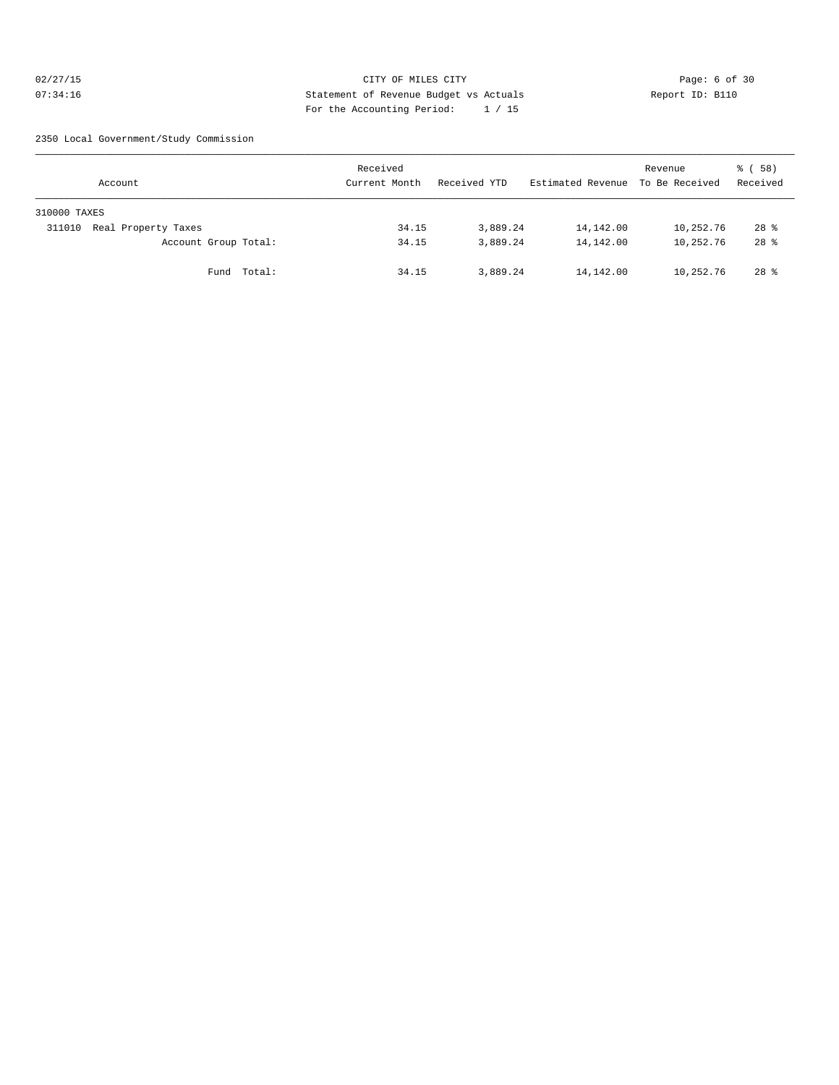## 02/27/15 CITY OF MILES CITY Page: 6 of 30 07:34:16 Statement of Revenue Budget vs Actuals Report ID: B110 For the Accounting Period: 1 / 15

2350 Local Government/Study Commission

| Account                       | Received<br>Current Month | Received YTD | Estimated Revenue To Be Received | Revenue   | 8 ( 58 )<br>Received |
|-------------------------------|---------------------------|--------------|----------------------------------|-----------|----------------------|
| 310000 TAXES                  |                           |              |                                  |           |                      |
| Real Property Taxes<br>311010 | 34.15                     | 3,889.24     | 14,142.00                        | 10,252.76 | $28*$                |
| Account Group Total:          | 34.15                     | 3,889.24     | 14,142.00                        | 10,252.76 | $28$ %               |
| Fund Total:                   | 34.15                     | 3,889.24     | 14,142.00                        | 10,252.76 | $28$ $%$             |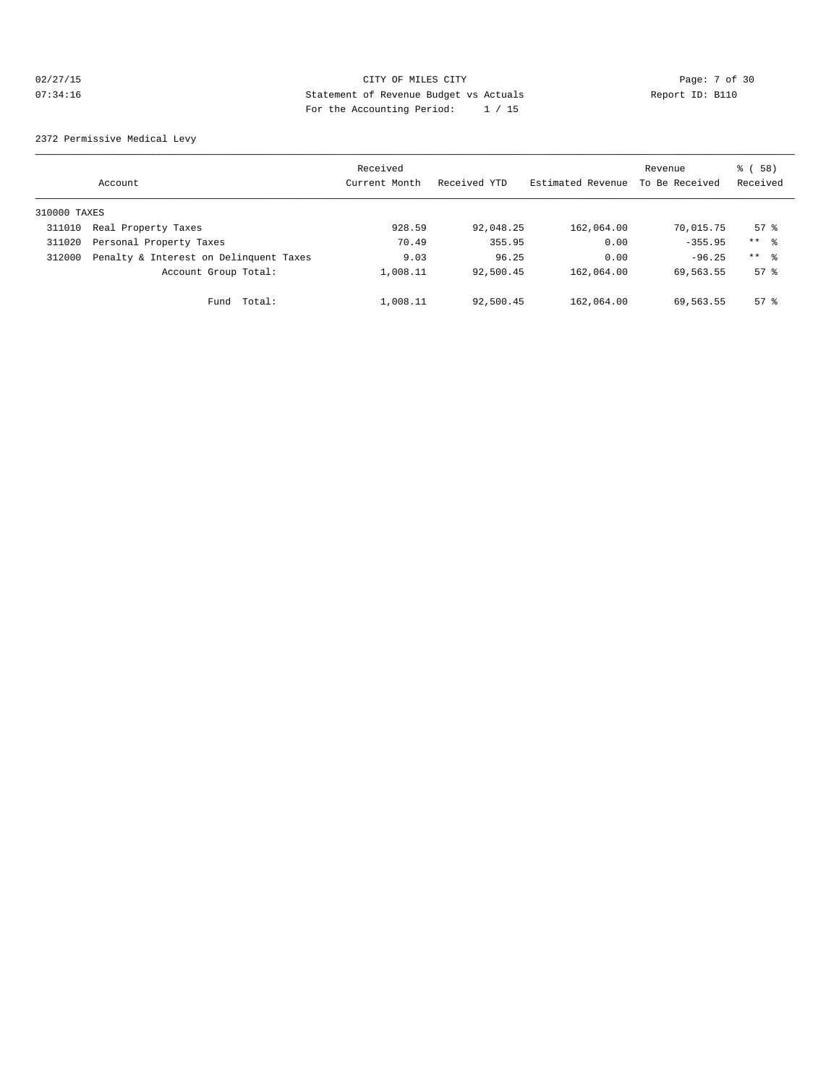## 02/27/15 CITY OF MILES CITY Page: 7 of 30<br>07:34:16 CITY Page: 7 of 30<br>07:34:16 CITY Page: 7 of 30<br>07:34:16 CITY Page: 1 (15 07:34:16 Statement of Revenue Budget vs Actuals Report ID: B110 For the Accounting Period: 1 / 15

2372 Permissive Medical Levy

|              | Account                                | Received<br>Current Month | Received YTD | Estimated Revenue | Revenue<br>To Be Received | 8 ( 58 )<br>Received |
|--------------|----------------------------------------|---------------------------|--------------|-------------------|---------------------------|----------------------|
| 310000 TAXES |                                        |                           |              |                   |                           |                      |
| 311010       | Real Property Taxes                    | 928.59                    | 92,048.25    | 162,064.00        | 70,015.75                 | $57$ $\frac{6}{3}$   |
| 311020       | Personal Property Taxes                | 70.49                     | 355.95       | 0.00              | $-355.95$                 | $***$ $\approx$      |
| 312000       | Penalty & Interest on Delinquent Taxes | 9.03                      | 96.25        | 0.00              | $-96.25$                  | $***$ $\approx$      |
|              | Account Group Total:                   | 1,008.11                  | 92,500.45    | 162,064.00        | 69,563.55                 | $57$ $\frac{6}{3}$   |
|              | Total:<br>Fund                         | 1,008.11                  | 92,500.45    | 162,064.00        | 69,563.55                 | $57$ $\frac{6}{3}$   |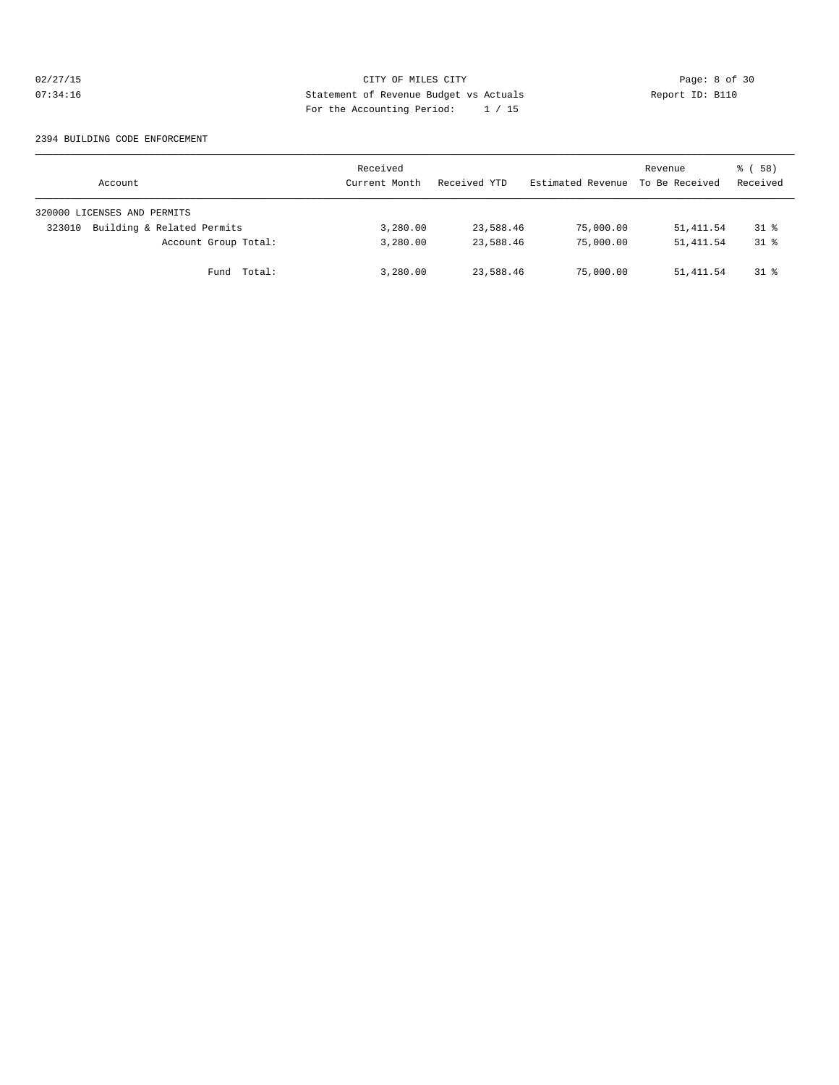## 02/27/15 CITY OF MILES CITY Page: 8 of 30<br>07:34:16 CITY Page: 8 of 30<br>07:34:16 CITY Page: 8 of 30<br>07:34:16 CITY Page: 11:05 07:34:16 Statement of Revenue Budget vs Actuals Report ID: B110 For the Accounting Period: 1 / 15

#### 2394 BUILDING CODE ENFORCEMENT

| Account                              | Received<br>Current Month | Received YTD | Estimated Revenue | Revenue<br>To Be Received | 8 ( 58 )<br>Received |
|--------------------------------------|---------------------------|--------------|-------------------|---------------------------|----------------------|
| 320000 LICENSES AND PERMITS          |                           |              |                   |                           |                      |
| Building & Related Permits<br>323010 | 3,280.00                  | 23,588.46    | 75,000.00         | 51, 411.54                | $31$ %               |
| Account Group Total:                 | 3,280.00                  | 23,588.46    | 75,000.00         | 51, 411.54                | $31$ $\approx$       |
| Fund Total:                          | 3,280.00                  | 23,588.46    | 75,000.00         | 51,411.54                 | $31$ %               |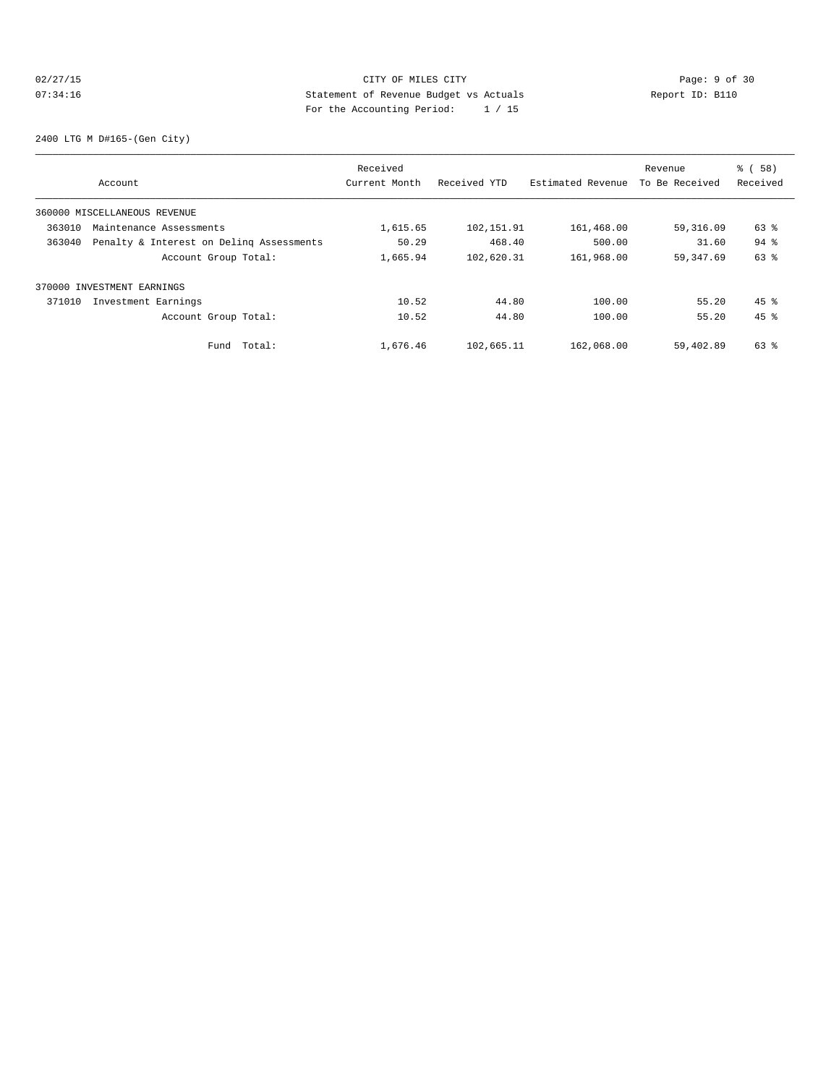## 02/27/15 **Page: 9 of 30 CITY OF MILES CITY CITY Page: 9 of 30** 07:34:16 Statement of Revenue Budget vs Actuals Report ID: B110 For the Accounting Period: 1 / 15

2400 LTG M D#165-(Gen City)

|        |                                          | Received      |              |                   | Revenue        | % ( 58 )           |
|--------|------------------------------------------|---------------|--------------|-------------------|----------------|--------------------|
|        | Account                                  | Current Month | Received YTD | Estimated Revenue | To Be Received | Received           |
|        | 360000 MISCELLANEOUS REVENUE             |               |              |                   |                |                    |
| 363010 | Maintenance Assessments                  | 1,615.65      | 102,151.91   | 161,468.00        | 59,316.09      | 63 %               |
| 363040 | Penalty & Interest on Deling Assessments | 50.29         | 468.40       | 500.00            | 31.60          | $94$ $%$           |
|        | Account Group Total:                     | 1,665.94      | 102,620.31   | 161,968.00        | 59, 347.69     | 63 %               |
|        | 370000 INVESTMENT EARNINGS               |               |              |                   |                |                    |
| 371010 | Investment Earnings                      | 10.52         | 44.80        | 100.00            | 55.20          | $45$ $\frac{6}{3}$ |
|        | Account Group Total:                     | 10.52         | 44.80        | 100.00            | 55.20          | $45$ $%$           |
|        | Total:<br>Fund                           | 1,676.46      | 102,665.11   | 162,068.00        | 59,402.89      | $63$ $%$           |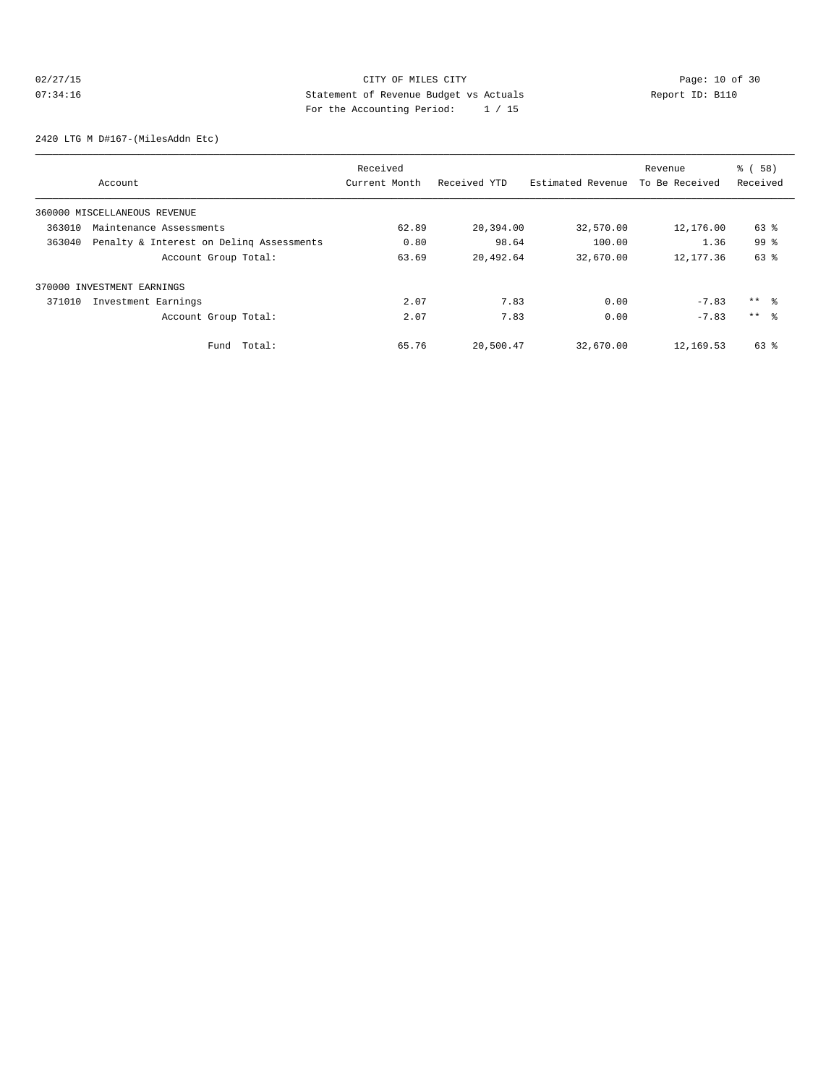## 02/27/15 **Page: 10 of 30 CITY CONSIDER CITY CITY CITY Page: 10 of 30 Page: 10 of 30** 07:34:16 Statement of Revenue Budget vs Actuals Report ID: B110 For the Accounting Period: 1 / 15

2420 LTG M D#167-(MilesAddn Etc)

|                              |                                          | Received      |              |                   | Revenue        | % ( 58 )        |
|------------------------------|------------------------------------------|---------------|--------------|-------------------|----------------|-----------------|
|                              | Account                                  | Current Month | Received YTD | Estimated Revenue | To Be Received | Received        |
| 360000 MISCELLANEOUS REVENUE |                                          |               |              |                   |                |                 |
| 363010                       | Maintenance Assessments                  | 62.89         | 20,394.00    | 32,570.00         | 12,176.00      | 63 %            |
| 363040                       | Penalty & Interest on Deling Assessments | 0.80          | 98.64        | 100.00            | 1.36           | 99 <sup>8</sup> |
|                              | Account Group Total:                     | 63.69         | 20,492.64    | 32,670.00         | 12,177.36      | 63 %            |
| 370000 INVESTMENT EARNINGS   |                                          |               |              |                   |                |                 |
| 371010                       | Investment Earnings                      | 2.07          | 7.83         | 0.00              | $-7.83$        | $***$ %         |
|                              | Account Group Total:                     | 2.07          | 7.83         | 0.00              | $-7.83$        | $***$ $\approx$ |
|                              | Fund Total:                              | 65.76         | 20,500.47    | 32,670.00         | 12,169.53      | 63 %            |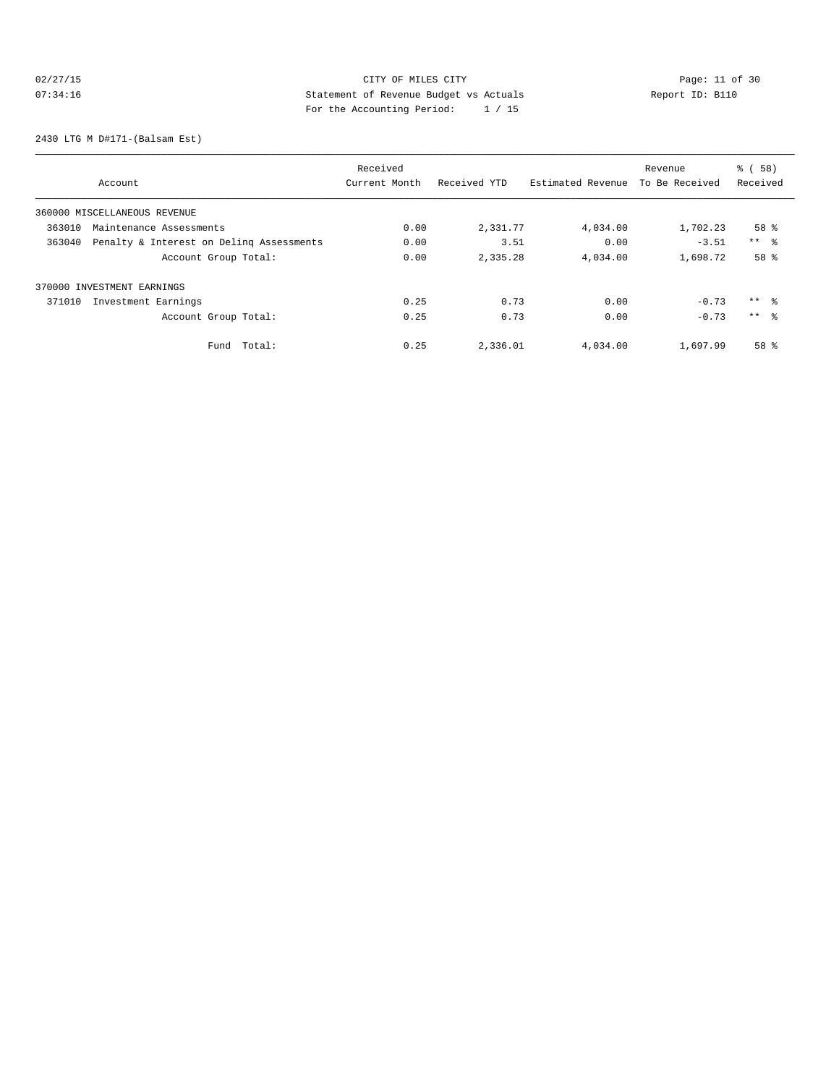## 02/27/15 Page: 11 of 30 07:34:16 Statement of Revenue Budget vs Actuals Report ID: B110 For the Accounting Period: 1 / 15

2430 LTG M D#171-(Balsam Est)

|                                                    | Received      |              |                   | Revenue        | % (58)          |
|----------------------------------------------------|---------------|--------------|-------------------|----------------|-----------------|
| Account                                            | Current Month | Received YTD | Estimated Revenue | To Be Received | Received        |
| 360000 MISCELLANEOUS REVENUE                       |               |              |                   |                |                 |
| 363010<br>Maintenance Assessments                  | 0.00          | 2,331.77     | 4,034.00          | 1,702.23       | 58 %            |
| Penalty & Interest on Deling Assessments<br>363040 | 0.00          | 3.51         | 0.00              | $-3.51$        | $***$ $ -$      |
| Account Group Total:                               | 0.00          | 2,335.28     | 4,034.00          | 1,698.72       | 58 %            |
| 370000 INVESTMENT EARNINGS                         |               |              |                   |                |                 |
| 371010<br>Investment Earnings                      | 0.25          | 0.73         | 0.00              | $-0.73$        | $***$ %         |
| Account Group Total:                               | 0.25          | 0.73         | 0.00              | $-0.73$        | $***$ $\approx$ |
| Fund Total:                                        | 0.25          | 2,336.01     | 4,034.00          | 1,697.99       | 58 %            |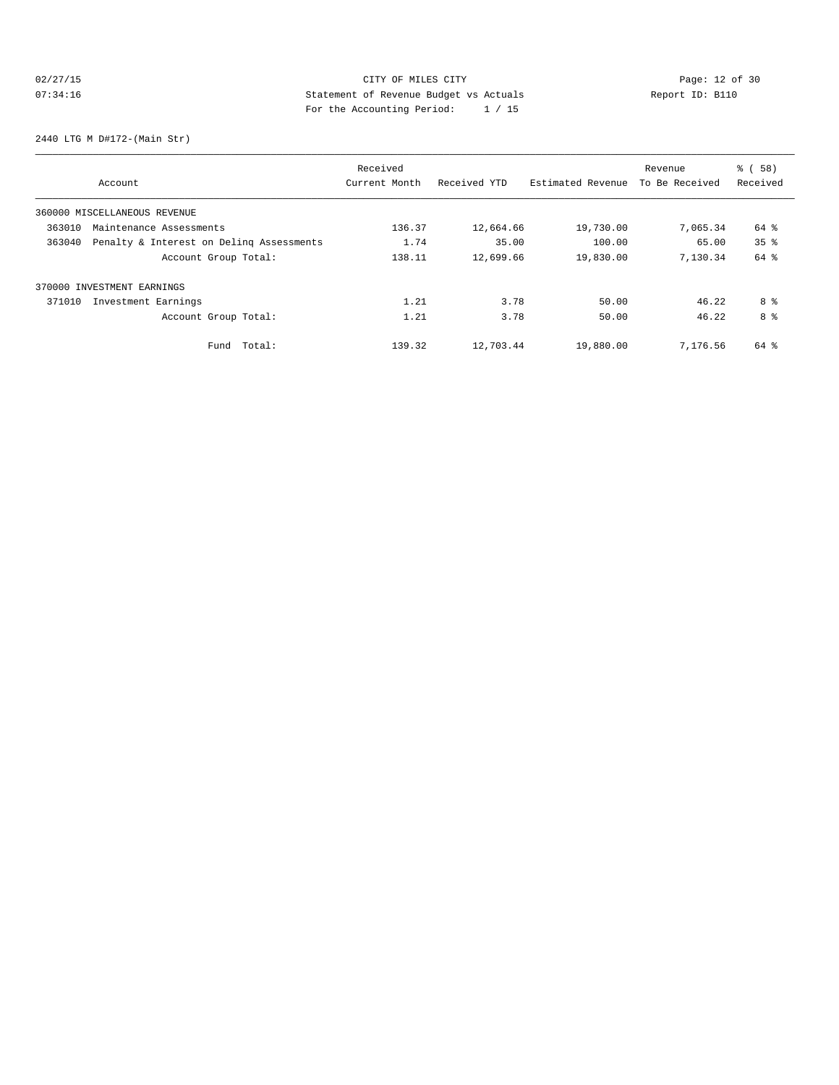## 02/27/15 **Page: 12 of 30** CITY OF MILES CITY **CITY Page: 12 of 30** 07:34:16 Statement of Revenue Budget vs Actuals Report ID: B110 For the Accounting Period: 1 / 15

2440 LTG M D#172-(Main Str)

|                                                    |                      | Received      |              |                   | Revenue        | % ( 58 )        |
|----------------------------------------------------|----------------------|---------------|--------------|-------------------|----------------|-----------------|
| Account                                            |                      | Current Month | Received YTD | Estimated Revenue | To Be Received | Received        |
| 360000 MISCELLANEOUS REVENUE                       |                      |               |              |                   |                |                 |
| 363010<br>Maintenance Assessments                  |                      | 136.37        | 12,664.66    | 19,730.00         | 7,065.34       | 64 %            |
| Penalty & Interest on Deling Assessments<br>363040 |                      | 1.74          | 35.00        | 100.00            | 65.00          | 35 <sup>8</sup> |
|                                                    | Account Group Total: | 138.11        | 12,699.66    | 19,830.00         | 7.130.34       | 64 %            |
| 370000 INVESTMENT EARNINGS                         |                      |               |              |                   |                |                 |
| 371010<br>Investment Earnings                      |                      | 1.21          | 3.78         | 50.00             | 46.22          | 8 %             |
|                                                    | Account Group Total: | 1.21          | 3.78         | 50.00             | 46.22          | 8 %             |
|                                                    | Total:<br>Fund       | 139.32        | 12,703.44    | 19,880.00         | 7,176.56       | 64 %            |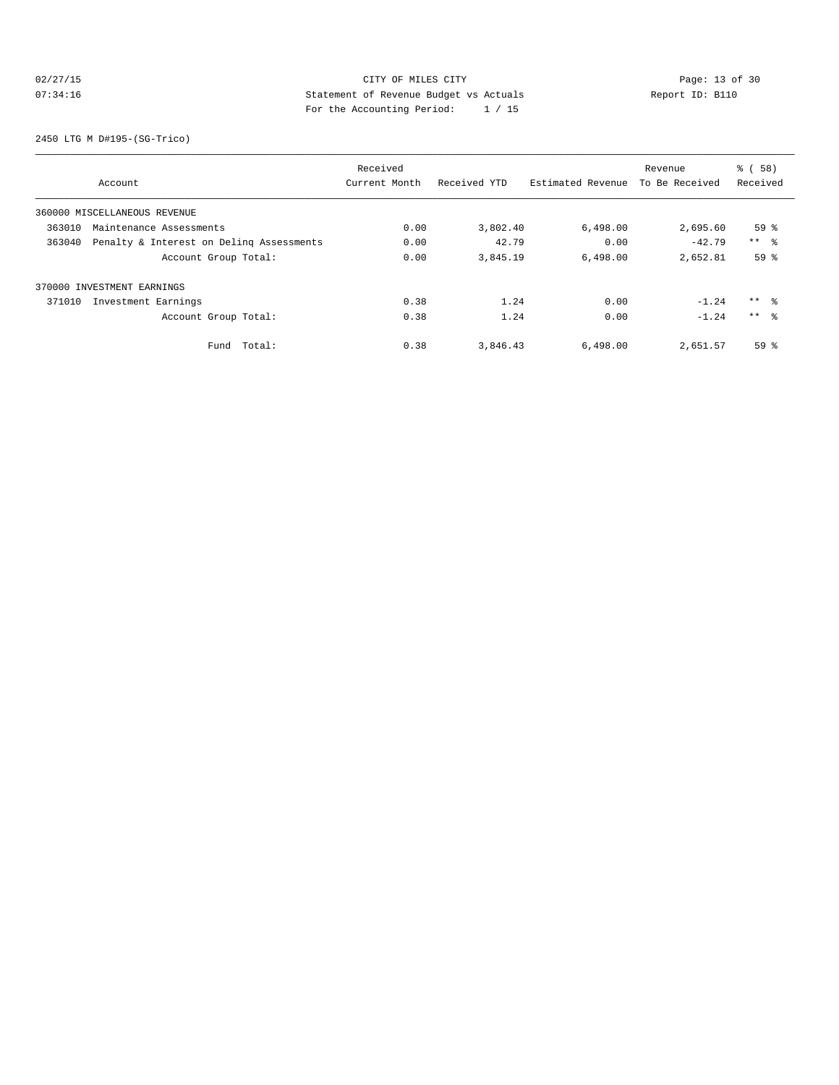## 02/27/15 **Page: 13 of 30 CITY CONSIDER CITY CITY CITY Page: 13 of 30** 07:34:16 Statement of Revenue Budget vs Actuals Report ID: B110 For the Accounting Period: 1 / 15

2450 LTG M D#195-(SG-Trico)

|        |                                          | Received      |              |                   | Revenue        | % ( 58 )        |
|--------|------------------------------------------|---------------|--------------|-------------------|----------------|-----------------|
|        | Account                                  | Current Month | Received YTD | Estimated Revenue | To Be Received | Received        |
|        | 360000 MISCELLANEOUS REVENUE             |               |              |                   |                |                 |
| 363010 | Maintenance Assessments                  | 0.00          | 3,802.40     | 6,498.00          | 2,695.60       | 59 <sup>°</sup> |
| 363040 | Penalty & Interest on Deling Assessments | 0.00          | 42.79        | 0.00              | $-42.79$       | $***$ $\approx$ |
|        | Account Group Total:                     | 0.00          | 3,845.19     | 6.498.00          | 2,652.81       | 59 <sup>°</sup> |
|        | 370000 INVESTMENT EARNINGS               |               |              |                   |                |                 |
| 371010 | Investment Earnings                      | 0.38          | 1.24         | 0.00              | $-1.24$        | $***$ %         |
|        | Account Group Total:                     | 0.38          | 1.24         | 0.00              | $-1.24$        | $***$ $\approx$ |
|        | Total:<br>Fund                           | 0.38          | 3,846.43     | 6,498.00          | 2,651.57       | 59 <sup>°</sup> |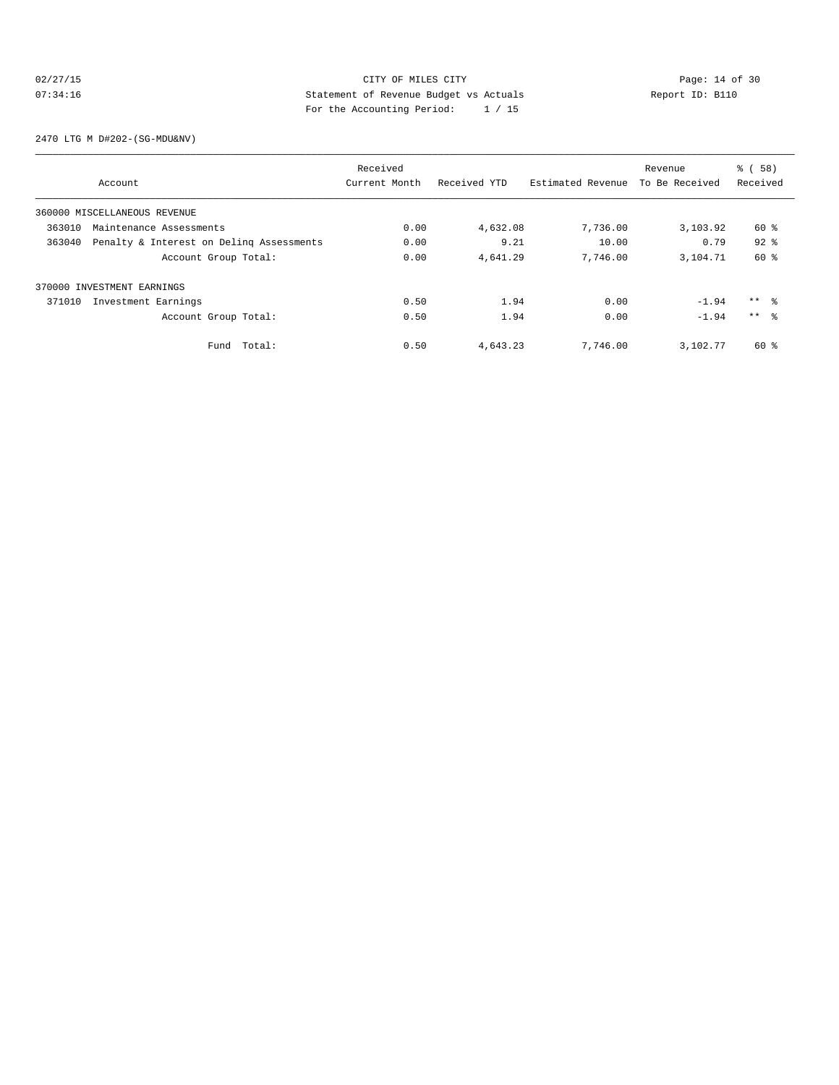## 02/27/15 **Page: 14 of 30 CITY CONSIDER CITY CITY CITY Page: 14 of 30** 07:34:16 Statement of Revenue Budget vs Actuals Report ID: B110 For the Accounting Period: 1 / 15

2470 LTG M D#202-(SG-MDU&NV)

|                                                    | Received      |              |                   | Revenue        | % ( 58 )        |
|----------------------------------------------------|---------------|--------------|-------------------|----------------|-----------------|
| Account                                            | Current Month | Received YTD | Estimated Revenue | To Be Received | Received        |
| 360000 MISCELLANEOUS REVENUE                       |               |              |                   |                |                 |
| 363010<br>Maintenance Assessments                  | 0.00          | 4,632.08     | 7,736.00          | 3,103.92       | 60 %            |
| Penalty & Interest on Deling Assessments<br>363040 | 0.00          | 9.21         | 10.00             | 0.79           | $92$ $%$        |
| Account Group Total:                               | 0.00          | 4,641.29     | 7.746.00          | 3,104.71       | 60 %            |
| 370000 INVESTMENT EARNINGS                         |               |              |                   |                |                 |
| 371010<br>Investment Earnings                      | 0.50          | 1.94         | 0.00              | $-1.94$        | $***$ %         |
| Account Group Total:                               | 0.50          | 1.94         | 0.00              | $-1.94$        | $***$ $\approx$ |
| Total:<br>Fund                                     | 0.50          | 4,643.23     | 7,746.00          | 3,102.77       | 60 %            |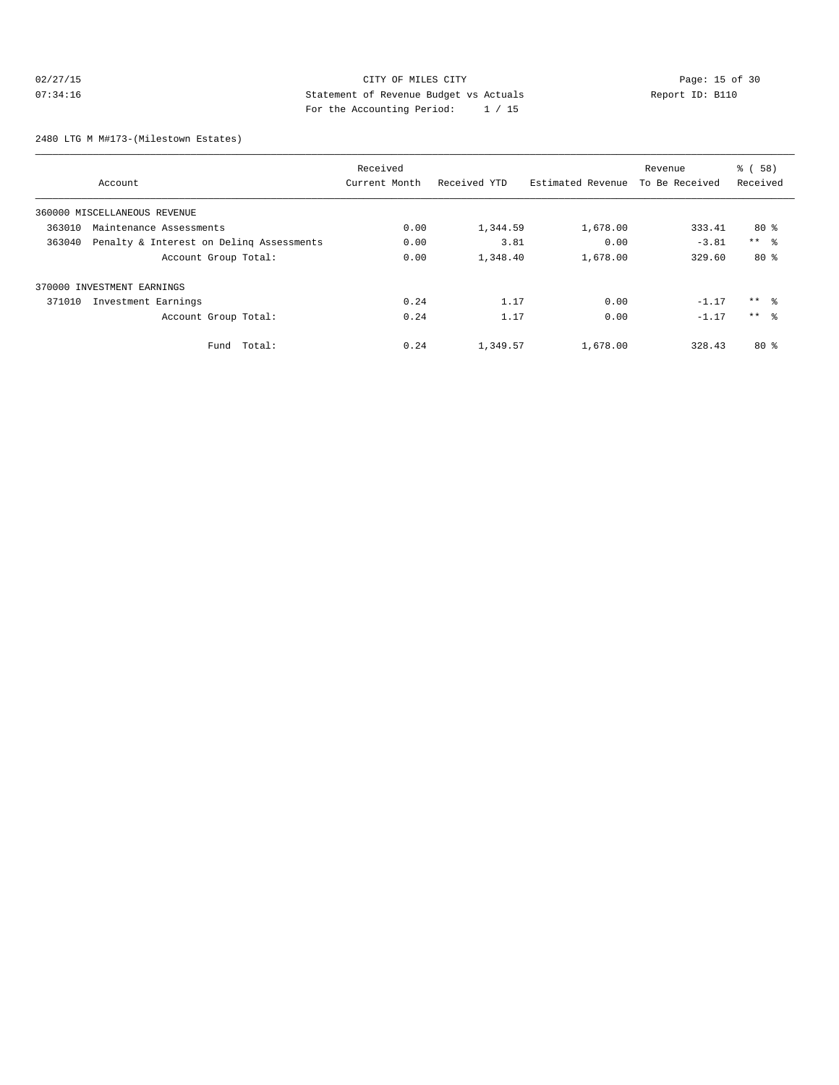## 02/27/15 **Page: 15 of 30 CITY CONSIDER CITY CITY CITY Page: 15 of 30** 07:34:16 Statement of Revenue Budget vs Actuals Report ID: B110 For the Accounting Period: 1 / 15

2480 LTG M M#173-(Milestown Estates)

|                                                    | Received      |              |                   | Revenue        | % ( 58 )        |
|----------------------------------------------------|---------------|--------------|-------------------|----------------|-----------------|
| Account                                            | Current Month | Received YTD | Estimated Revenue | To Be Received | Received        |
| 360000 MISCELLANEOUS REVENUE                       |               |              |                   |                |                 |
| 363010<br>Maintenance Assessments                  | 0.00          | 1,344.59     | 1,678.00          | 333.41         | 80%             |
| Penalty & Interest on Deling Assessments<br>363040 | 0.00          | 3.81         | 0.00              | $-3.81$        | $***$ %         |
| Account Group Total:                               | 0.00          | 1,348.40     | 1,678.00          | 329.60         | 80%             |
| 370000 INVESTMENT EARNINGS                         |               |              |                   |                |                 |
| 371010<br>Investment Earnings                      | 0.24          | 1.17         | 0.00              | $-1.17$        | $***$ %         |
| Account Group Total:                               | 0.24          | 1.17         | 0.00              | $-1.17$        | $***$ $\approx$ |
| Total:<br>Fund                                     | 0.24          | 1,349.57     | 1,678.00          | 328.43         | 80%             |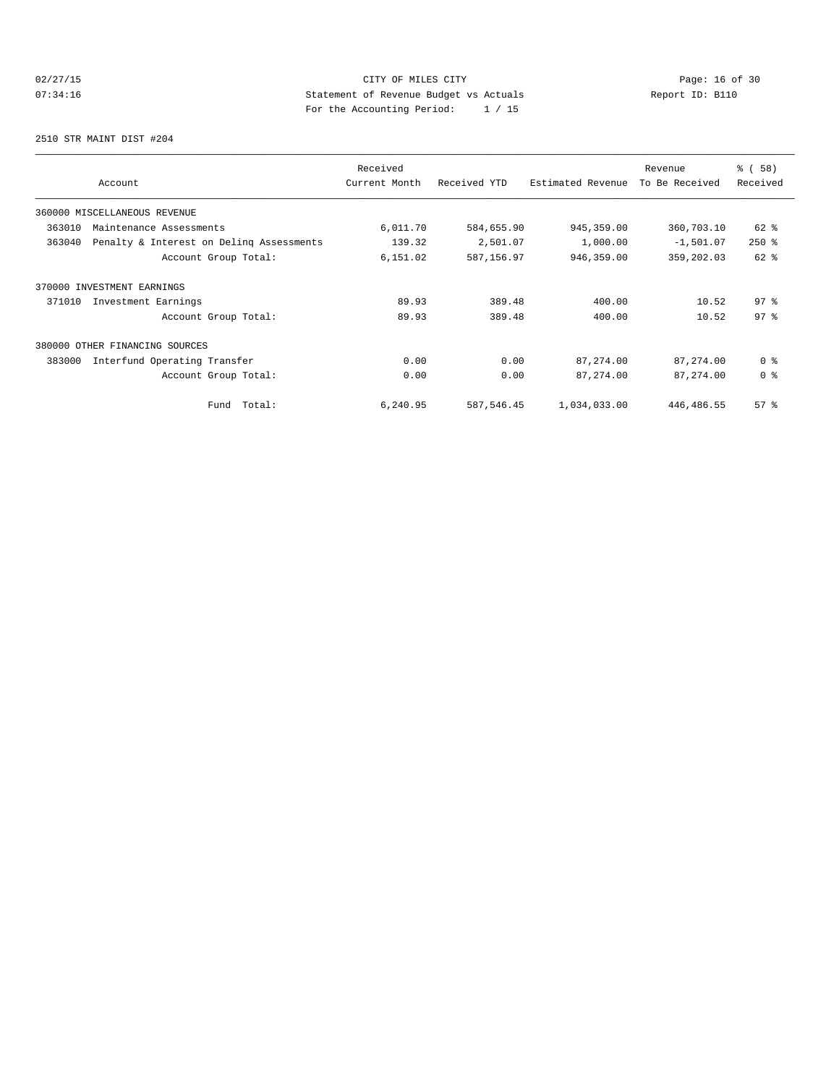## 02/27/15 **Page: 16 of 30** CITY OF MILES CITY **CITY Page: 16 of 30** 07:34:16 Statement of Revenue Budget vs Actuals Report ID: B110 For the Accounting Period: 1 / 15

2510 STR MAINT DIST #204

| Account                                            | Received<br>Current Month | Received YTD | Estimated Revenue | Revenue<br>To Be Received | 8 ( 58 )<br>Received |
|----------------------------------------------------|---------------------------|--------------|-------------------|---------------------------|----------------------|
| 360000 MISCELLANEOUS REVENUE                       |                           |              |                   |                           |                      |
| 363010<br>Maintenance Assessments                  | 6,011.70                  | 584,655.90   | 945, 359.00       | 360,703.10                | 62 %                 |
| Penalty & Interest on Deling Assessments<br>363040 | 139.32                    | 2,501.07     | 1,000.00          | $-1,501.07$               | $250*$               |
| Account Group Total:                               | 6,151.02                  | 587,156.97   | 946,359.00        | 359,202.03                | 62 %                 |
| 370000 INVESTMENT EARNINGS                         |                           |              |                   |                           |                      |
| 371010<br>Investment Earnings                      | 89.93                     | 389.48       | 400.00            | 10.52                     | 97 <sup>°</sup>      |
| Account Group Total:                               | 89.93                     | 389.48       | 400.00            | 10.52                     | 97 <sup>°</sup>      |
| 380000 OTHER FINANCING SOURCES                     |                           |              |                   |                           |                      |
| Interfund Operating Transfer<br>383000             | 0.00                      | 0.00         | 87, 274.00        | 87, 274.00                | 0 <sup>8</sup>       |
| Account Group Total:                               | 0.00                      | 0.00         | 87, 274.00        | 87, 274.00                | 0 <sup>8</sup>       |
| Total:<br>Fund                                     | 6,240.95                  | 587, 546.45  | 1,034,033.00      | 446, 486.55               | 57%                  |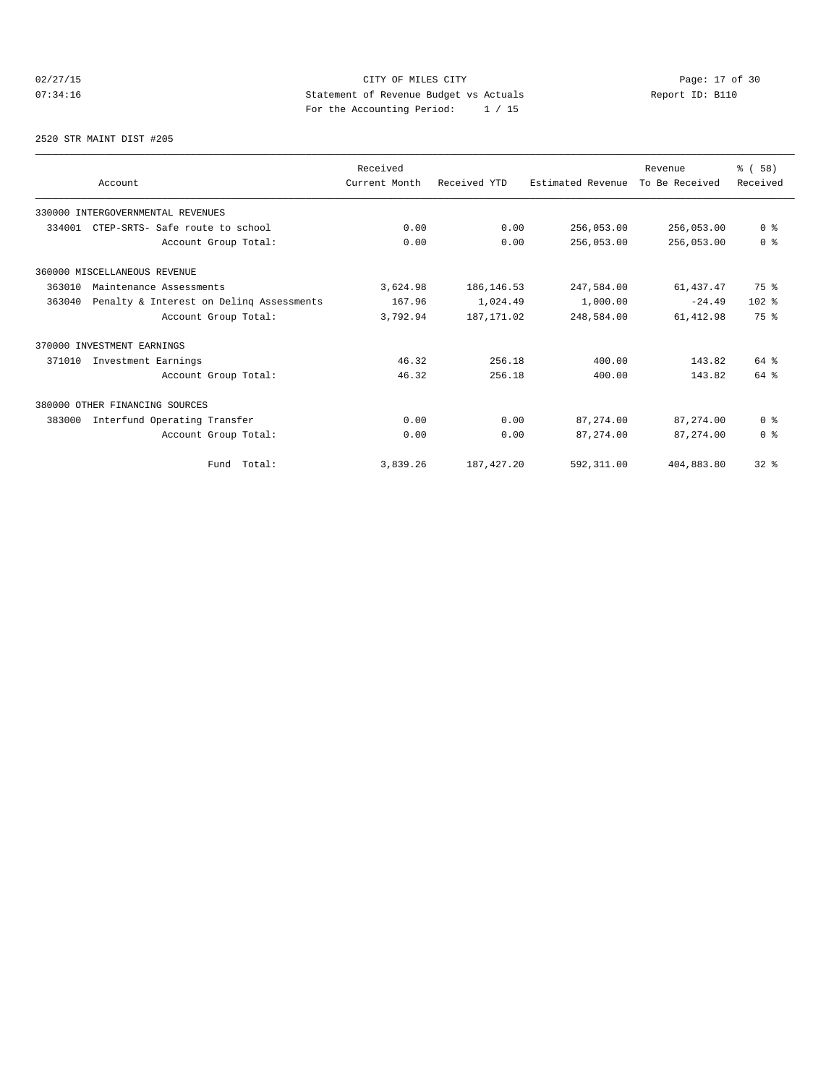## 02/27/15 **Page: 17 of 30** CITY OF MILES CITY **CITY Page: 17 of 30** 07:34:16 Statement of Revenue Budget vs Actuals Report ID: B110 For the Accounting Period: 1 / 15

#### 2520 STR MAINT DIST #205

| Account                                            | Received<br>Current Month | Received YTD | Estimated Revenue | Revenue<br>To Be Received | % (58)<br>Received |
|----------------------------------------------------|---------------------------|--------------|-------------------|---------------------------|--------------------|
|                                                    |                           |              |                   |                           |                    |
| 330000 INTERGOVERNMENTAL REVENUES                  |                           |              |                   |                           |                    |
| 334001<br>CTEP-SRTS- Safe route to school          | 0.00                      | 0.00         | 256,053.00        | 256,053.00                | 0 <sup>8</sup>     |
| Account Group Total:                               | 0.00                      | 0.00         | 256,053.00        | 256,053.00                | 0 <sup>8</sup>     |
| 360000 MISCELLANEOUS REVENUE                       |                           |              |                   |                           |                    |
| 363010<br>Maintenance Assessments                  | 3,624.98                  | 186, 146.53  | 247,584.00        | 61,437.47                 | 75 %               |
| 363040<br>Penalty & Interest on Deling Assessments | 167.96                    | 1,024.49     | 1,000.00          | $-24.49$                  | $102$ %            |
| Account Group Total:                               | 3,792.94                  | 187, 171, 02 | 248,584.00        | 61, 412.98                | 75 %               |
| 370000 INVESTMENT EARNINGS                         |                           |              |                   |                           |                    |
| 371010<br>Investment Earnings                      | 46.32                     | 256.18       | 400.00            | 143.82                    | $64$ $%$           |
| Account Group Total:                               | 46.32                     | 256.18       | 400.00            | 143.82                    | 64 %               |
| 380000 OTHER FINANCING SOURCES                     |                           |              |                   |                           |                    |
| 383000<br>Interfund Operating Transfer             | 0.00                      | 0.00         | 87, 274, 00       | 87, 274, 00               | 0 <sup>8</sup>     |
| Account Group Total:                               | 0.00                      | 0.00         | 87,274.00         | 87, 274, 00               | 0 <sup>8</sup>     |
| Fund Total:                                        | 3,839.26                  | 187, 427.20  | 592,311.00        | 404,883.80                | $32$ $%$           |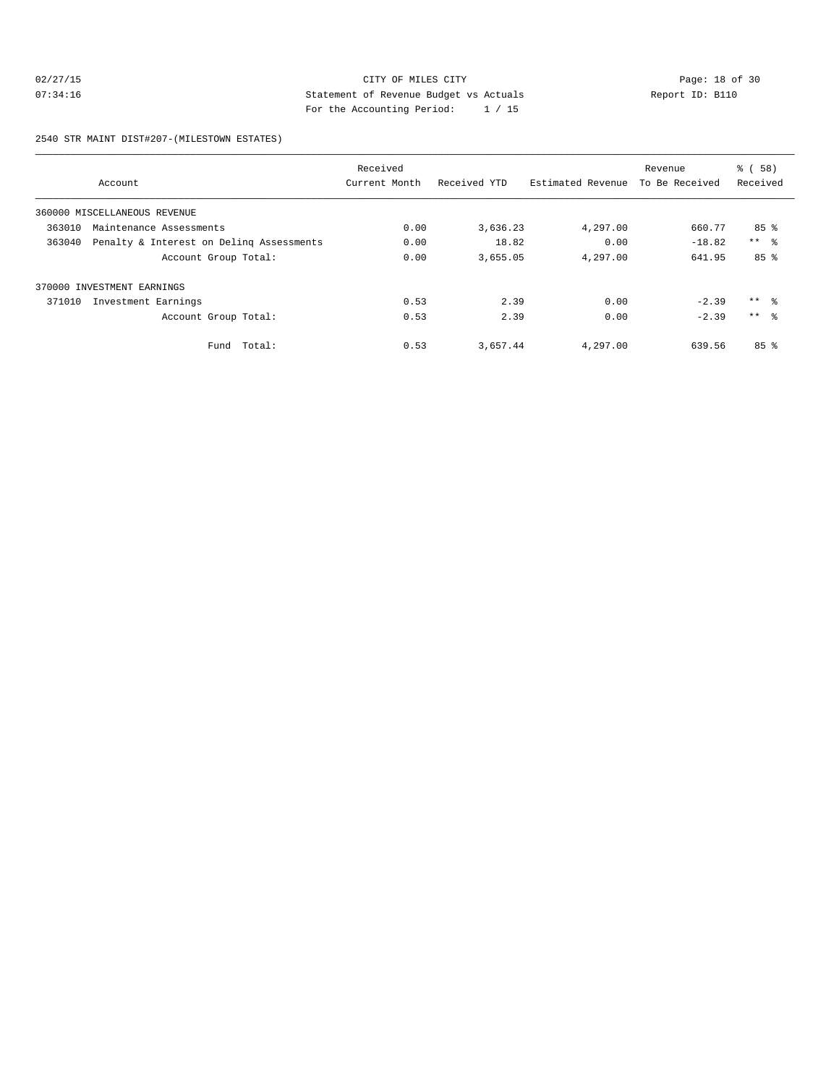## 02/27/15 CITY OF MILES CITY<br>
07:34:16 Page: 18 of 30<br>
Statement of Revenue Budget vs Actuals<br>
Page: the Accounting Boules (1996) And the Actual Statement of Actual Statement of Actual Statement of Actual Statement of Actua 07:34:16 Statement of Revenue Budget vs Actuals Report ID: B110 For the Accounting Period: 1 / 15

2540 STR MAINT DIST#207-(MILESTOWN ESTATES)

|        |                                          | Received      |              |                   | Revenue        | % ( 58 )        |
|--------|------------------------------------------|---------------|--------------|-------------------|----------------|-----------------|
|        | Account                                  | Current Month | Received YTD | Estimated Revenue | To Be Received | Received        |
|        | 360000 MISCELLANEOUS REVENUE             |               |              |                   |                |                 |
| 363010 | Maintenance Assessments                  | 0.00          | 3,636.23     | 4,297.00          | 660.77         | 85%             |
| 363040 | Penalty & Interest on Deling Assessments | 0.00          | 18.82        | 0.00              | $-18.82$       | $***$ $\approx$ |
|        | Account Group Total:                     | 0.00          | 3,655.05     | 4,297.00          | 641.95         | 85 <sup>8</sup> |
|        | 370000 INVESTMENT EARNINGS               |               |              |                   |                |                 |
| 371010 | Investment Earnings                      | 0.53          | 2.39         | 0.00              | $-2.39$        | $***$ $\approx$ |
|        | Account Group Total:                     | 0.53          | 2.39         | 0.00              | $-2.39$        | $***$ $\approx$ |
|        | Fund Total:                              | 0.53          | 3,657.44     | 4,297.00          | 639.56         | 85%             |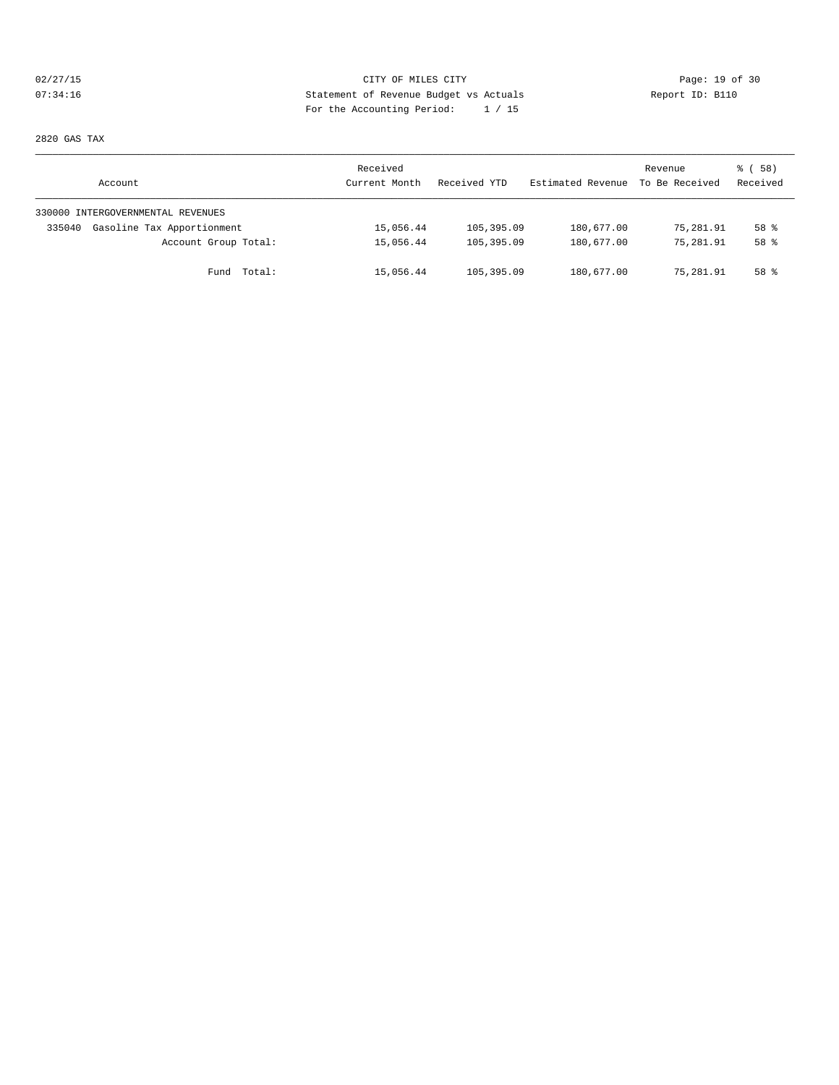## 02/27/15 **Page: 19 of 30 CITY CONSIDER CITY CITY CITY Page: 19 of 30** 07:34:16 Statement of Revenue Budget vs Actuals Report ID: B110 For the Accounting Period: 1 / 15

2820 GAS TAX

| Account                              | Received<br>Current Month | Received YTD | Estimated Revenue | Revenue<br>To Be Received | 8 ( 58 )<br>Received |
|--------------------------------------|---------------------------|--------------|-------------------|---------------------------|----------------------|
| 330000 INTERGOVERNMENTAL REVENUES    |                           |              |                   |                           |                      |
| Gasoline Tax Apportionment<br>335040 | 15,056.44                 | 105,395.09   | 180,677.00        | 75,281.91                 | 58 %                 |
| Account Group Total:                 | 15,056.44                 | 105,395.09   | 180,677.00        | 75,281.91                 | 58 %                 |
| Fund Total:                          | 15,056.44                 | 105,395.09   | 180,677.00        | 75,281.91                 | 58 %                 |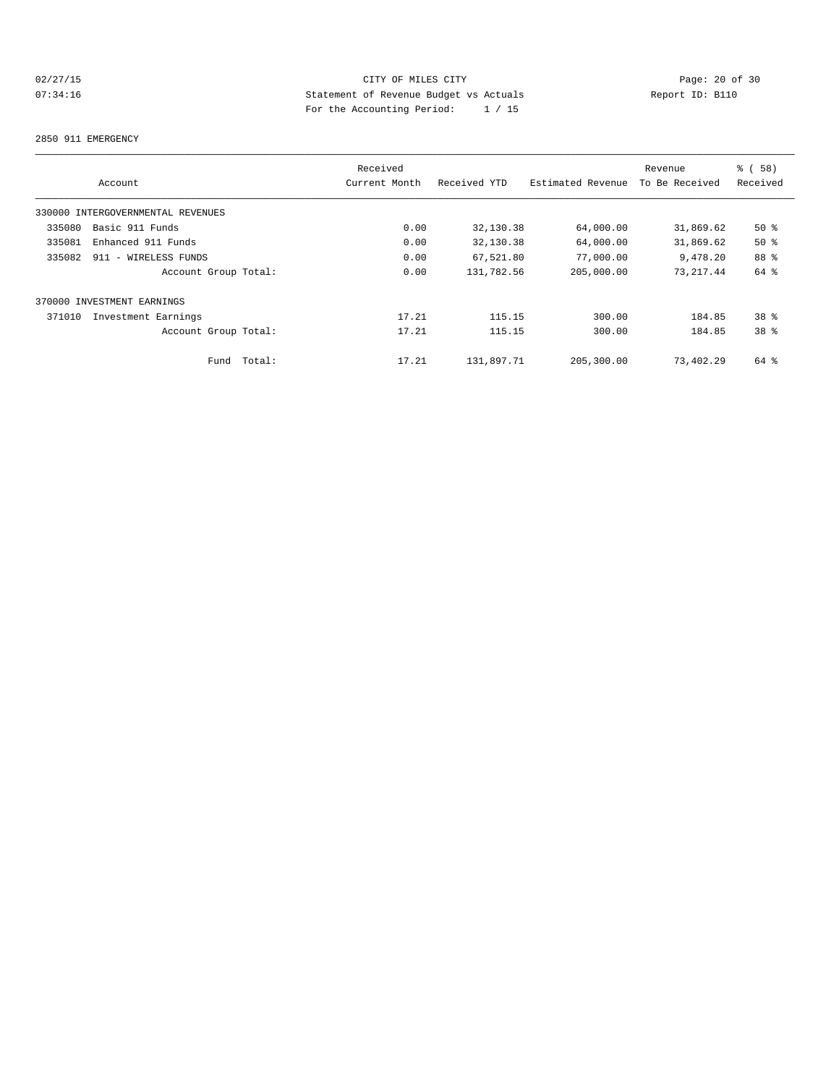## 02/27/15 CITY OF MILES CITY<br>
07:34:16 Page: 20 of 30<br>
Statement of Revenue Budget vs Actuals<br>
Page: the Accounting Page: 20 of 20<br>
Page: the Accounting Page: 20<br>
Page: 20 of 30<br>
Page: 20 of 30<br>
Page: 20 of 30<br>
Page: 20 of 07:34:16 Statement of Revenue Budget vs Actuals Report ID: B110 For the Accounting Period: 1 / 15

#### 2850 911 EMERGENCY

|        |                                   |        | Received      |              |                   | Revenue        | 8 ( 58 )        |
|--------|-----------------------------------|--------|---------------|--------------|-------------------|----------------|-----------------|
|        | Account                           |        | Current Month | Received YTD | Estimated Revenue | To Be Received | Received        |
|        | 330000 INTERGOVERNMENTAL REVENUES |        |               |              |                   |                |                 |
| 335080 | Basic 911 Funds                   |        | 0.00          | 32,130.38    | 64,000.00         | 31,869.62      | $50*$           |
| 335081 | Enhanced 911 Funds                |        | 0.00          | 32,130.38    | 64,000.00         | 31,869.62      | 50%             |
| 335082 | 911 - WIRELESS FUNDS              |        | 0.00          | 67,521.80    | 77,000.00         | 9,478.20       | 88 %            |
|        | Account Group Total:              |        | 0.00          | 131,782.56   | 205,000.00        | 73, 217, 44    | 64 %            |
|        | 370000 INVESTMENT EARNINGS        |        |               |              |                   |                |                 |
| 371010 | Investment Earnings               |        | 17.21         | 115.15       | 300.00            | 184.85         | 38 <sup>8</sup> |
|        | Account Group Total:              |        | 17.21         | 115.15       | 300.00            | 184.85         | 38 <sup>8</sup> |
|        | Fund                              | Total: | 17.21         | 131,897.71   | 205,300.00        | 73,402.29      | 64 %            |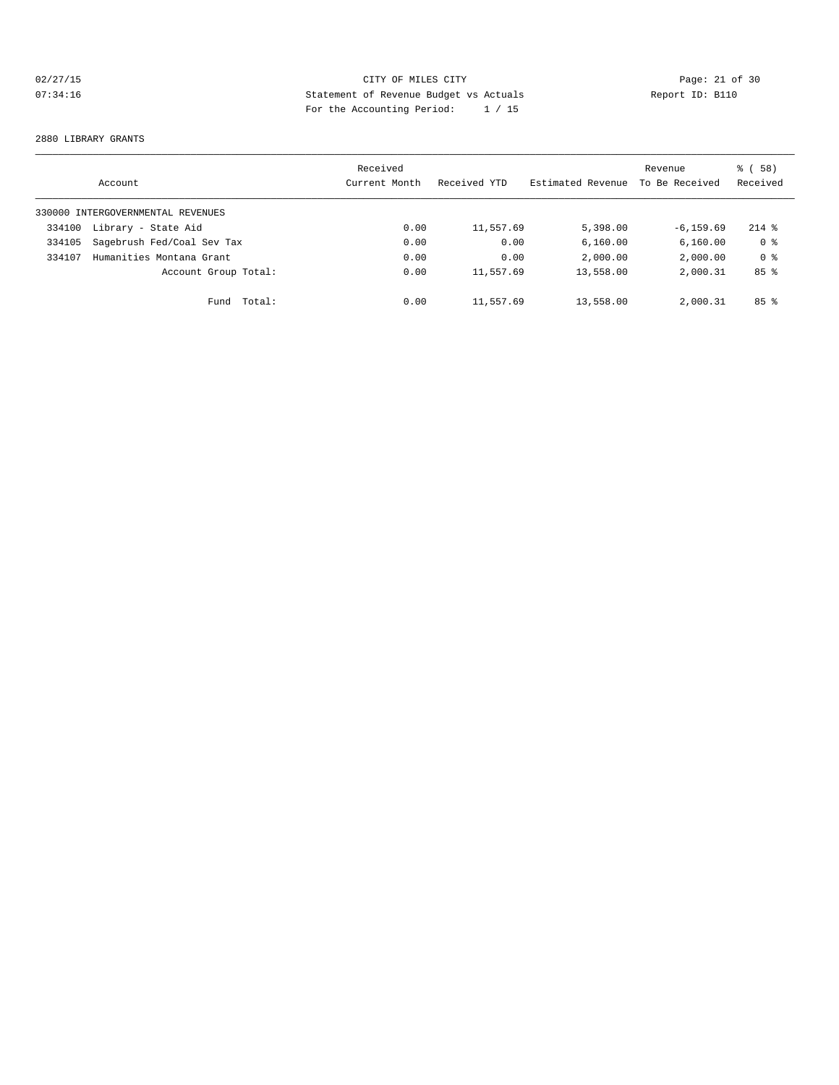## 02/27/15 **Page: 21 of 30** CITY OF MILES CITY **CITY Page: 21 of 30** 07:34:16 Statement of Revenue Budget vs Actuals Report ID: B110 For the Accounting Period: 1 / 15

#### 2880 LIBRARY GRANTS

|        | Account                           |        | Received<br>Current Month | Received YTD | Estimated Revenue | Revenue<br>To Be Received | 8 ( 58 )<br>Received |
|--------|-----------------------------------|--------|---------------------------|--------------|-------------------|---------------------------|----------------------|
|        | 330000 INTERGOVERNMENTAL REVENUES |        |                           |              |                   |                           |                      |
| 334100 | Library - State Aid               |        | 0.00                      | 11,557.69    | 5,398.00          | $-6, 159.69$              | $214$ %              |
| 334105 | Sagebrush Fed/Coal Sev Tax        |        | 0.00                      | 0.00         | 6,160.00          | 6, 160.00                 | 0 <sup>8</sup>       |
| 334107 | Humanities Montana Grant          |        | 0.00                      | 0.00         | 2,000.00          | 2,000.00                  | 0 <sup>8</sup>       |
|        | Account Group Total:              |        | 0.00                      | 11,557.69    | 13,558.00         | 2,000.31                  | 85%                  |
|        | Fund                              | Total: | 0.00                      | 11,557.69    | 13,558.00         | 2,000.31                  | 85 <sup>8</sup>      |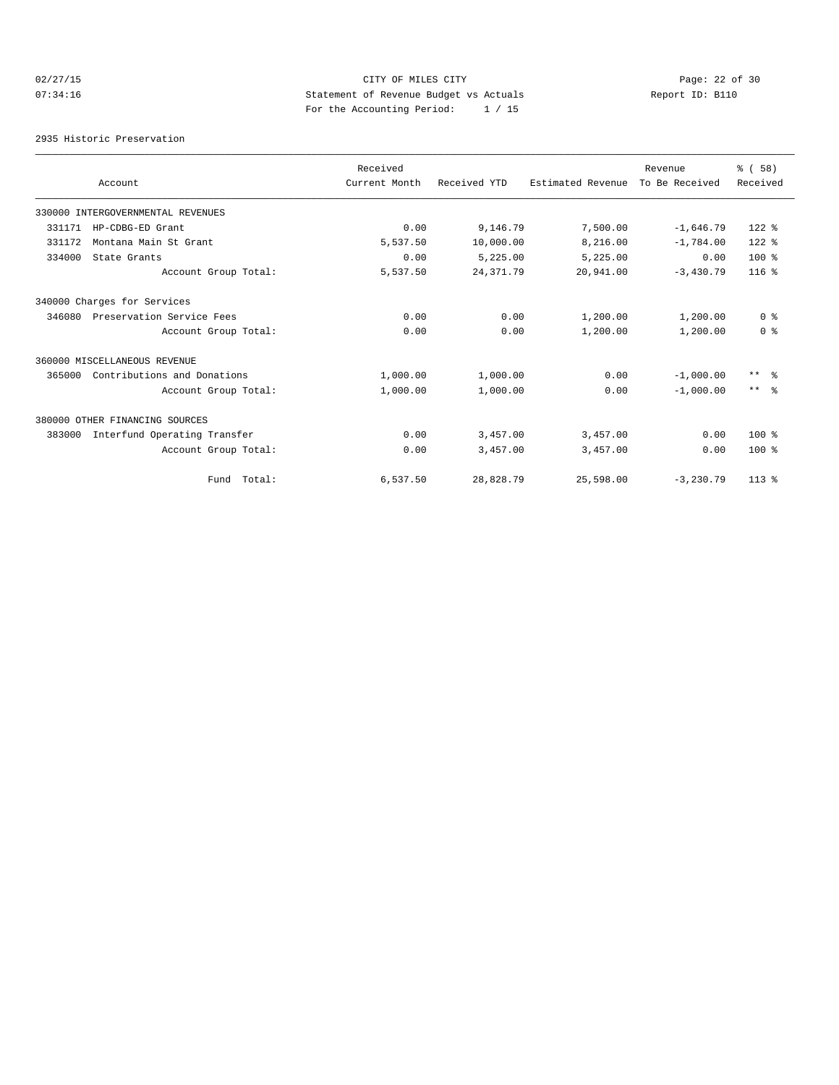## 02/27/15 **Page: 22 of 30 CITY CONSIDER CITY CITY CITY Page: 22 of 30** 07:34:16 Statement of Revenue Budget vs Actuals Report ID: B110 For the Accounting Period: 1 / 15

2935 Historic Preservation

|        |                                   | Received      |              |                   | Revenue        | % (58)         |
|--------|-----------------------------------|---------------|--------------|-------------------|----------------|----------------|
|        | Account                           | Current Month | Received YTD | Estimated Revenue | To Be Received | Received       |
|        | 330000 INTERGOVERNMENTAL REVENUES |               |              |                   |                |                |
| 331171 | HP-CDBG-ED Grant                  | 0.00          | 9,146.79     | 7,500.00          | $-1,646.79$    | $122$ %        |
| 331172 | Montana Main St Grant             | 5,537.50      | 10,000.00    | 8,216.00          | $-1,784.00$    | $122$ %        |
| 334000 | State Grants                      | 0.00          | 5,225.00     | 5,225.00          | 0.00           | $100*$         |
|        | Account Group Total:              | 5,537.50      | 24, 371.79   | 20,941.00         | $-3,430.79$    | $116*$         |
|        | 340000 Charges for Services       |               |              |                   |                |                |
| 346080 | Preservation Service Fees         | 0.00          | 0.00         | 1,200.00          | 1,200.00       | 0 <sup>8</sup> |
|        | Account Group Total:              | 0.00          | 0.00         | 1,200.00          | 1,200.00       | 0 <sup>8</sup> |
|        | 360000 MISCELLANEOUS REVENUE      |               |              |                   |                |                |
| 365000 | Contributions and Donations       | 1,000.00      | 1,000.00     | 0.00              | $-1,000,00$    | $***$ $ -$     |
|        | Account Group Total:              | 1,000.00      | 1,000.00     | 0.00              | $-1.000.00$    | $***$ $ -$     |
|        | 380000 OTHER FINANCING SOURCES    |               |              |                   |                |                |
| 383000 | Interfund Operating Transfer      | 0.00          | 3,457.00     | 3,457.00          | 0.00           | $100*$         |
|        | Account Group Total:              | 0.00          | 3,457.00     | 3,457.00          | 0.00           | $100*$         |
|        | Fund Total:                       | 6,537.50      | 28,828.79    | 25,598.00         | $-3,230.79$    | $113*$         |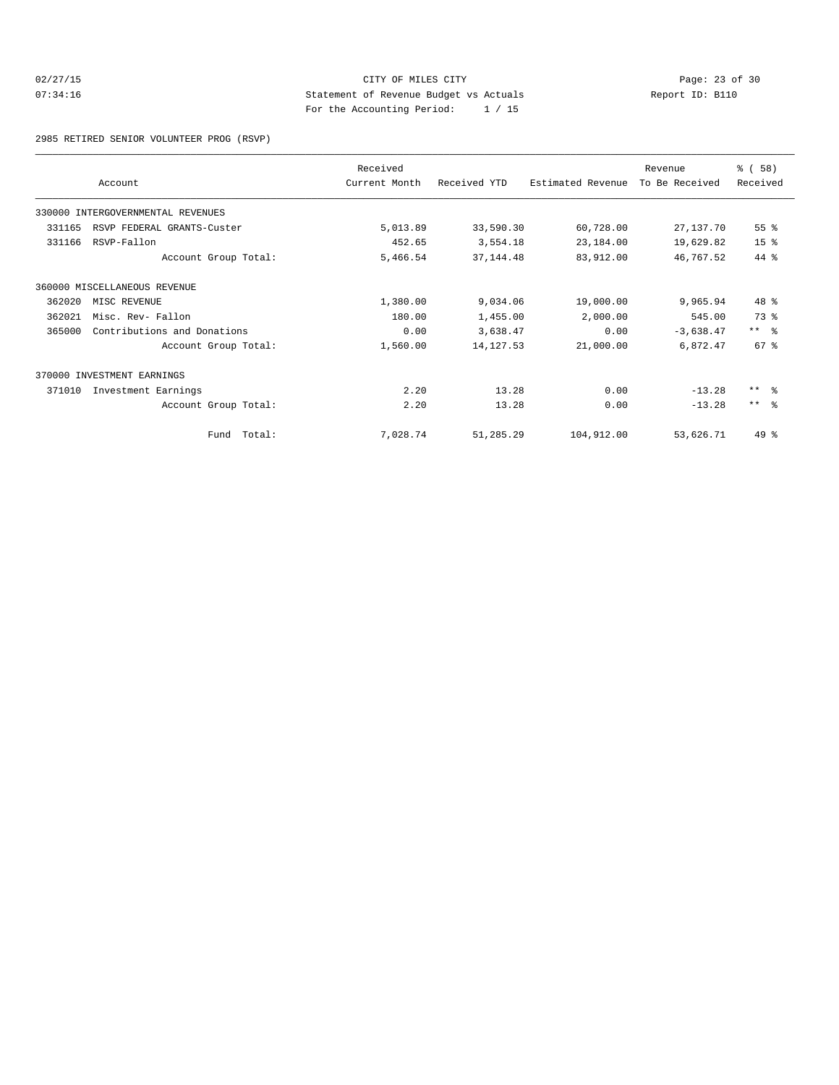## 02/27/15 **Page: 23 of 30** CITY OF MILES CITY **CITY Page: 23 of 30** 07:34:16 Statement of Revenue Budget vs Actuals Report ID: B110 For the Accounting Period: 1 / 15

2985 RETIRED SENIOR VOLUNTEER PROG (RSVP)

|        |                                   | Received      |              |                   | Revenue        | % (58)          |
|--------|-----------------------------------|---------------|--------------|-------------------|----------------|-----------------|
|        | Account                           | Current Month | Received YTD | Estimated Revenue | To Be Received | Received        |
|        | 330000 INTERGOVERNMENTAL REVENUES |               |              |                   |                |                 |
| 331165 | RSVP FEDERAL GRANTS-Custer        | 5,013.89      | 33,590.30    | 60,728.00         | 27,137.70      | 55 %            |
| 331166 | RSVP-Fallon                       | 452.65        | 3,554.18     | 23,184.00         | 19,629.82      | 15 <sup>°</sup> |
|        | Account Group Total:              | 5,466.54      | 37, 144.48   | 83,912.00         | 46,767.52      | 44 %            |
|        | 360000 MISCELLANEOUS REVENUE      |               |              |                   |                |                 |
| 362020 | MISC REVENUE                      | 1,380.00      | 9,034.06     | 19,000.00         | 9,965.94       | 48 %            |
| 362021 | Misc. Rev- Fallon                 | 180.00        | 1,455.00     | 2,000.00          | 545.00         | 73 %            |
| 365000 | Contributions and Donations       | 0.00          | 3,638.47     | 0.00              | $-3,638.47$    | $***$ $ -$      |
|        | Account Group Total:              | 1,560.00      | 14, 127.53   | 21,000.00         | 6,872.47       | $67$ $%$        |
|        | 370000 INVESTMENT EARNINGS        |               |              |                   |                |                 |
| 371010 | Investment Earnings               | 2.20          | 13.28        | 0.00              | $-13.28$       | $***$ $ -$      |
|        | Account Group Total:              | 2.20          | 13.28        | 0.00              | $-13.28$       | $***$ $\approx$ |
|        | Fund Total:                       | 7,028.74      | 51,285.29    | 104,912.00        | 53,626.71      | $49*$           |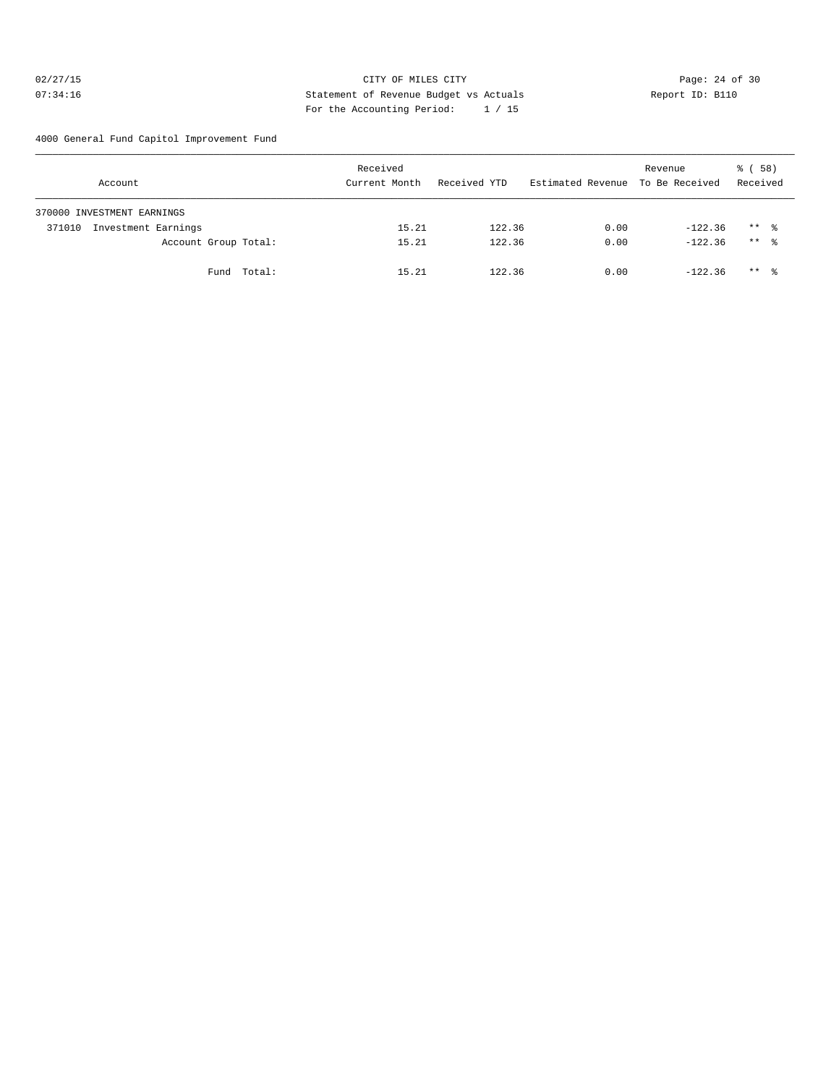## 02/27/15 **Page: 24 of 30 CITY CONSIDER CITY** CITY **Page: 24 of 30** 07:34:16 Statement of Revenue Budget vs Actuals Report ID: B110 For the Accounting Period: 1 / 15

4000 General Fund Capitol Improvement Fund

| Account                       | Received<br>Current Month | Received YTD | Estimated Revenue To Be Received | Revenue   | 8 ( 58 )<br>Received |
|-------------------------------|---------------------------|--------------|----------------------------------|-----------|----------------------|
| 370000 INVESTMENT EARNINGS    |                           |              |                                  |           |                      |
| Investment Earnings<br>371010 | 15.21                     | 122.36       | 0.00                             | $-122.36$ | $***$ $\frac{6}{2}$  |
| Account Group Total:          | 15.21                     | 122.36       | 0.00                             | $-122.36$ | $***$ 8              |
| Fund Total:                   | 15.21                     | 122.36       | 0.00                             | $-122.36$ | $***$ $\frac{6}{2}$  |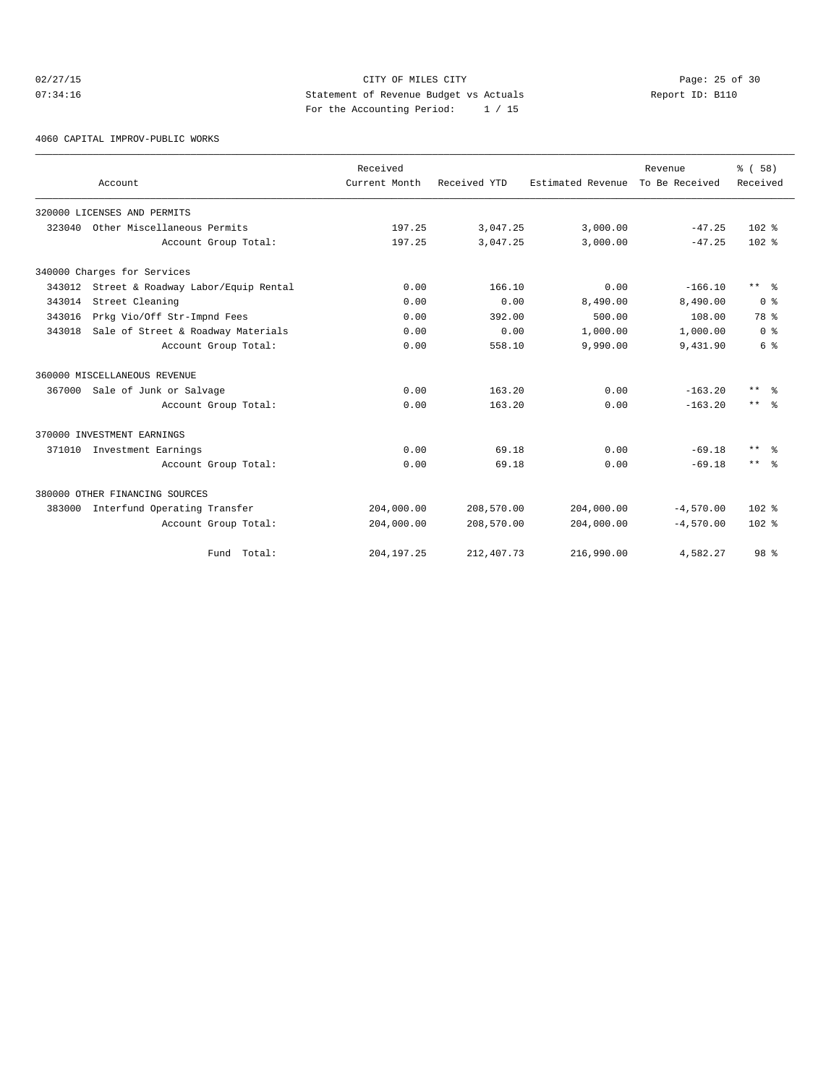## 02/27/15 **Page: 25 of 30 CITY CONSIDER CITY** CITY **Page: 25 of 30** 07:34:16 Statement of Revenue Budget vs Actuals Report ID: B110 For the Accounting Period: 1 / 15

4060 CAPITAL IMPROV-PUBLIC WORKS

|        |                                            | Received      |              |                   | Revenue        | 8 ( 58 )                |
|--------|--------------------------------------------|---------------|--------------|-------------------|----------------|-------------------------|
|        | Account                                    | Current Month | Received YTD | Estimated Revenue | To Be Received | Received                |
|        | 320000 LICENSES AND PERMITS                |               |              |                   |                |                         |
| 323040 | Other Miscellaneous Permits                | 197.25        | 3,047.25     | 3,000.00          | $-47.25$       | $102*$                  |
|        | Account Group Total:                       | 197.25        | 3,047.25     | 3,000.00          | $-47.25$       | $102*$                  |
|        | 340000 Charges for Services                |               |              |                   |                |                         |
|        | 343012 Street & Roadway Labor/Equip Rental | 0.00          | 166.10       | 0.00              | $-166.10$      | $***$ $=$ $\frac{6}{5}$ |
| 343014 | Street Cleaning                            | 0.00          | 0.00         | 8,490.00          | 8,490.00       | 0 <sup>8</sup>          |
| 343016 | Prkg Vio/Off Str-Impnd Fees                | 0.00          | 392.00       | 500.00            | 108.00         | 78 %                    |
| 343018 | Sale of Street & Roadway Materials         | 0.00          | 0.00         | 1,000.00          | 1,000.00       | 0 <sup>8</sup>          |
|        | Account Group Total:                       | 0.00          | 558.10       | 9,990.00          | 9,431.90       | 6 %                     |
|        | 360000 MISCELLANEOUS REVENUE               |               |              |                   |                |                         |
| 367000 | Sale of Junk or Salvage                    | 0.00          | 163.20       | 0.00              | $-163.20$      | $***$ $\approx$         |
|        | Account Group Total:                       | 0.00          | 163.20       | 0.00              | $-163.20$      | $***$ $ -$              |
|        | 370000 INVESTMENT EARNINGS                 |               |              |                   |                |                         |
|        | 371010 Investment Earnings                 | 0.00          | 69.18        | 0.00              | $-69.18$       | $***$ $=$ $\frac{6}{5}$ |
|        | Account Group Total:                       | 0.00          | 69.18        | 0.00              | $-69.18$       | $***$ $=$ $\frac{6}{5}$ |
|        | 380000 OTHER FINANCING SOURCES             |               |              |                   |                |                         |
| 383000 | Interfund Operating Transfer               | 204,000.00    | 208,570.00   | 204,000.00        | $-4,570.00$    | $102$ %                 |
|        | Account Group Total:                       | 204,000.00    | 208,570.00   | 204,000.00        | $-4,570.00$    | $102*$                  |
|        | Fund Total:                                | 204, 197. 25  | 212,407.73   | 216,990.00        | 4,582.27       | 98 %                    |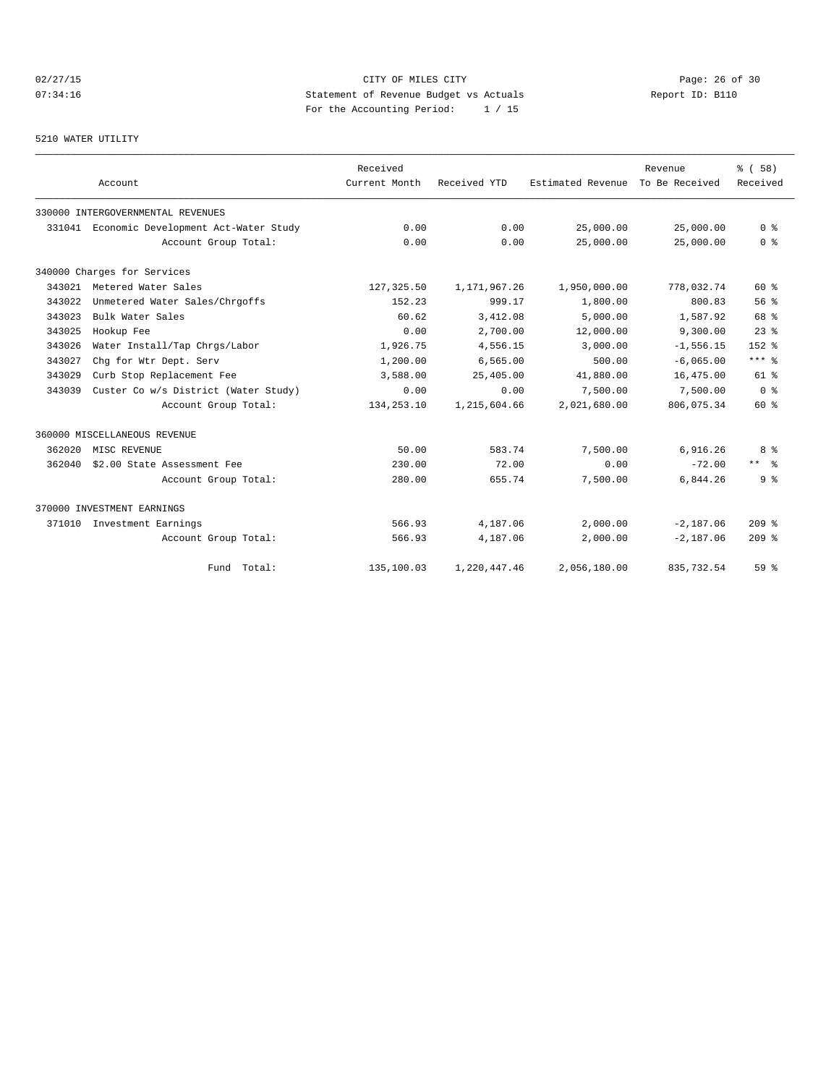# 02/27/15 **Page: 26 of 30** CITY OF MILES CITY **CITY Page: 26 of 30** 07:34:16 Statement of Revenue Budget vs Actuals Report ID: B110 For the Accounting Period: 1 / 15

#### 5210 WATER UTILITY

|        | Account                                     | Received<br>Current Month | Received YTD | Estimated Revenue | Revenue<br>To Be Received | % (58)<br>Received |
|--------|---------------------------------------------|---------------------------|--------------|-------------------|---------------------------|--------------------|
|        |                                             |                           |              |                   |                           |                    |
|        | 330000 INTERGOVERNMENTAL REVENUES           |                           |              |                   |                           |                    |
|        | 331041 Economic Development Act-Water Study | 0.00                      | 0.00         | 25,000.00         | 25,000.00                 | 0 <sup>8</sup>     |
|        | Account Group Total:                        | 0.00                      | 0.00         | 25,000.00         | 25,000.00                 | 0 <sup>8</sup>     |
|        | 340000 Charges for Services                 |                           |              |                   |                           |                    |
| 343021 | Metered Water Sales                         | 127,325.50                | 1,171,967.26 | 1,950,000.00      | 778,032.74                | 60%                |
| 343022 | Unmetered Water Sales/Chrgoffs              | 152.23                    | 999.17       | 1,800.00          | 800.83                    | 56 <sup>8</sup>    |
| 343023 | Bulk Water Sales                            | 60.62                     | 3,412.08     | 5,000.00          | 1,587.92                  | 68 %               |
| 343025 | Hookup Fee                                  | 0.00                      | 2,700.00     | 12,000.00         | 9,300.00                  | $23$ $%$           |
| 343026 | Water Install/Tap Chrgs/Labor               | 1,926.75                  | 4,556.15     | 3,000.00          | $-1, 556.15$              | $152$ $%$          |
| 343027 | Chq for Wtr Dept. Serv                      | 1,200.00                  | 6,565.00     | 500.00            | $-6,065.00$               | $***$ $%$          |
| 343029 | Curb Stop Replacement Fee                   | 3,588.00                  | 25,405.00    | 41,880.00         | 16,475.00                 | $61$ %             |
| 343039 | Custer Co w/s District (Water Study)        | 0.00                      | 0.00         | 7,500.00          | 7,500.00                  | 0 <sup>8</sup>     |
|        | Account Group Total:                        | 134, 253. 10              | 1,215,604.66 | 2,021,680.00      | 806,075.34                | 60 %               |
|        | 360000 MISCELLANEOUS REVENUE                |                           |              |                   |                           |                    |
| 362020 | MISC REVENUE                                | 50.00                     | 583.74       | 7,500.00          | 6,916.26                  | 8 %                |
| 362040 | \$2.00 State Assessment Fee                 | 230.00                    | 72.00        | 0.00              | $-72.00$                  | $***$ 2            |
|        | Account Group Total:                        | 280.00                    | 655.74       | 7,500.00          | 6.844.26                  | 9 <sup>8</sup>     |
|        | 370000 INVESTMENT EARNINGS                  |                           |              |                   |                           |                    |
| 371010 | Investment Earnings                         | 566.93                    | 4,187.06     | 2,000.00          | $-2,187.06$               | $209$ %            |
|        | Account Group Total:                        | 566.93                    | 4,187.06     | 2,000.00          | $-2,187.06$               | $209$ %            |
|        | Fund Total:                                 | 135,100.03                | 1,220,447.46 | 2,056,180.00      | 835,732.54                | 59 %               |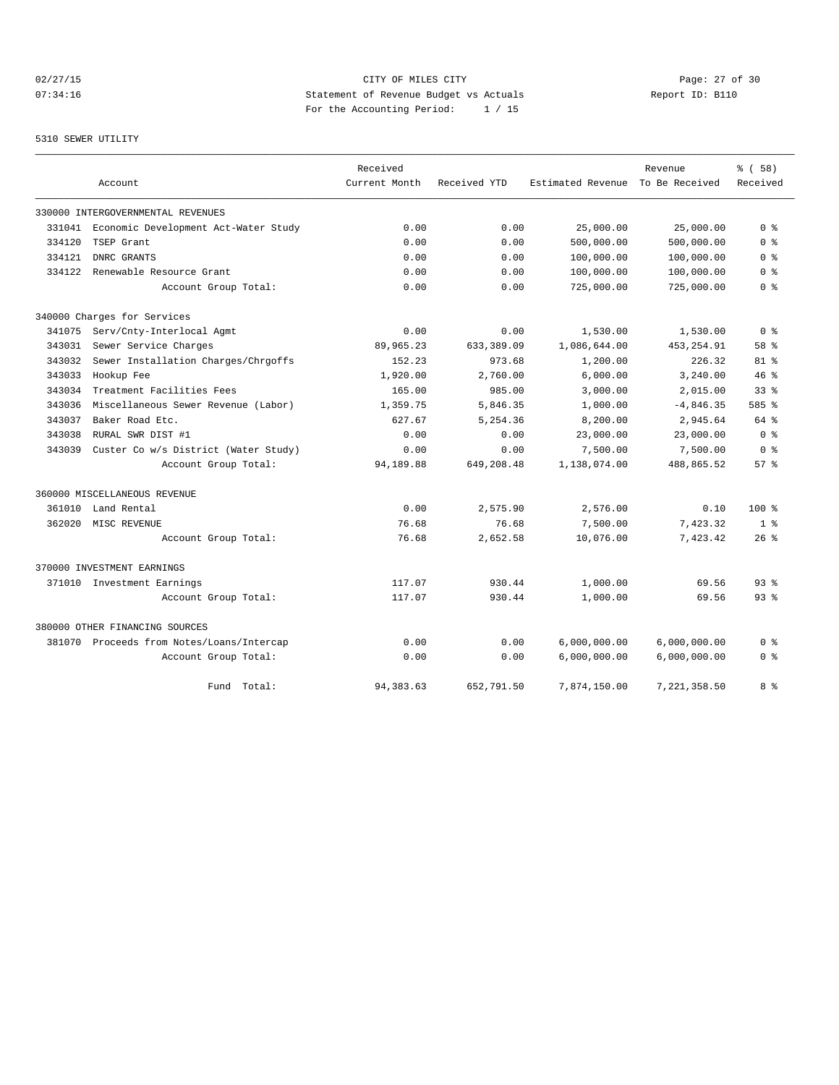## 02/27/15 **Page: 27 of 30** CITY OF MILES CITY **CITY Page: 27 of 30** 07:34:16 Statement of Revenue Budget vs Actuals Report ID: B110 For the Accounting Period: 1 / 15

## 5310 SEWER UTILITY

|        |                                           | Received      |              |                   | Revenue        | 8 ( 58 )        |
|--------|-------------------------------------------|---------------|--------------|-------------------|----------------|-----------------|
|        | Account                                   | Current Month | Received YTD | Estimated Revenue | To Be Received | Received        |
|        | 330000 INTERGOVERNMENTAL REVENUES         |               |              |                   |                |                 |
| 331041 | Economic Development Act-Water Study      | 0.00          | 0.00         | 25,000.00         | 25,000.00      | 0 <sup>8</sup>  |
| 334120 | TSEP Grant                                | 0.00          | 0.00         | 500,000.00        | 500,000.00     | 0 <sup>8</sup>  |
| 334121 | DNRC GRANTS                               | 0.00          | 0.00         | 100,000.00        | 100,000.00     | 0 <sup>8</sup>  |
| 334122 | Renewable Resource Grant                  | 0.00          | 0.00         | 100,000.00        | 100,000.00     | 0 %             |
|        | Account Group Total:                      | 0.00          | 0.00         | 725,000.00        | 725,000.00     | 0 <sup>8</sup>  |
|        | 340000 Charges for Services               |               |              |                   |                |                 |
| 341075 | Serv/Cnty-Interlocal Agmt                 | 0.00          | 0.00         | 1,530.00          | 1,530.00       | 0 <sup>8</sup>  |
| 343031 | Sewer Service Charges                     | 89,965.23     | 633,389.09   | 1,086,644.00      | 453, 254.91    | 58 %            |
| 343032 | Sewer Installation Charges/Chrgoffs       | 152.23        | 973.68       | 1,200.00          | 226.32         | $81$ %          |
| 343033 | Hookup Fee                                | 1,920.00      | 2,760.00     | 6,000.00          | 3,240.00       | 46%             |
| 343034 | Treatment Facilities Fees                 | 165.00        | 985.00       | 3,000.00          | 2,015.00       | 33 <sup>8</sup> |
| 343036 | Miscellaneous Sewer Revenue (Labor)       | 1,359.75      | 5,846.35     | 1,000.00          | $-4,846.35$    | 585 %           |
| 343037 | Baker Road Etc.                           | 627.67        | 5,254.36     | 8,200.00          | 2,945.64       | 64 %            |
| 343038 | RURAL SWR DIST #1                         | 0.00          | 0.00         | 23,000.00         | 23,000.00      | 0 <sup>8</sup>  |
| 343039 | Custer Co w/s District (Water Study)      | 0.00          | 0.00         | 7,500.00          | 7,500.00       | 0 <sup>8</sup>  |
|        | Account Group Total:                      | 94,189.88     | 649,208.48   | 1,138,074.00      | 488,865.52     | 57%             |
|        | 360000 MISCELLANEOUS REVENUE              |               |              |                   |                |                 |
| 361010 | Land Rental                               | 0.00          | 2,575.90     | 2,576.00          | 0.10           | $100*$          |
| 362020 | MISC REVENUE                              | 76.68         | 76.68        | 7,500.00          | 7,423.32       | 1 <sup>8</sup>  |
|        | Account Group Total:                      | 76.68         | 2,652.58     | 10,076.00         | 7,423.42       | $26$ %          |
|        | 370000 INVESTMENT EARNINGS                |               |              |                   |                |                 |
|        | 371010 Investment Earnings                | 117.07        | 930.44       | 1,000.00          | 69.56          | 93 <sup>8</sup> |
|        | Account Group Total:                      | 117.07        | 930.44       | 1,000.00          | 69.56          | 93 <sup>8</sup> |
|        | 380000 OTHER FINANCING SOURCES            |               |              |                   |                |                 |
|        | 381070 Proceeds from Notes/Loans/Intercap | 0.00          | 0.00         | 6,000,000.00      | 6,000,000.00   | 0 %             |
|        | Account Group Total:                      | 0.00          | 0.00         | 6,000,000.00      | 6,000,000.00   | 0 <sup>8</sup>  |
|        | Fund Total:                               | 94, 383.63    | 652,791.50   | 7,874,150.00      | 7,221,358.50   | 8 %             |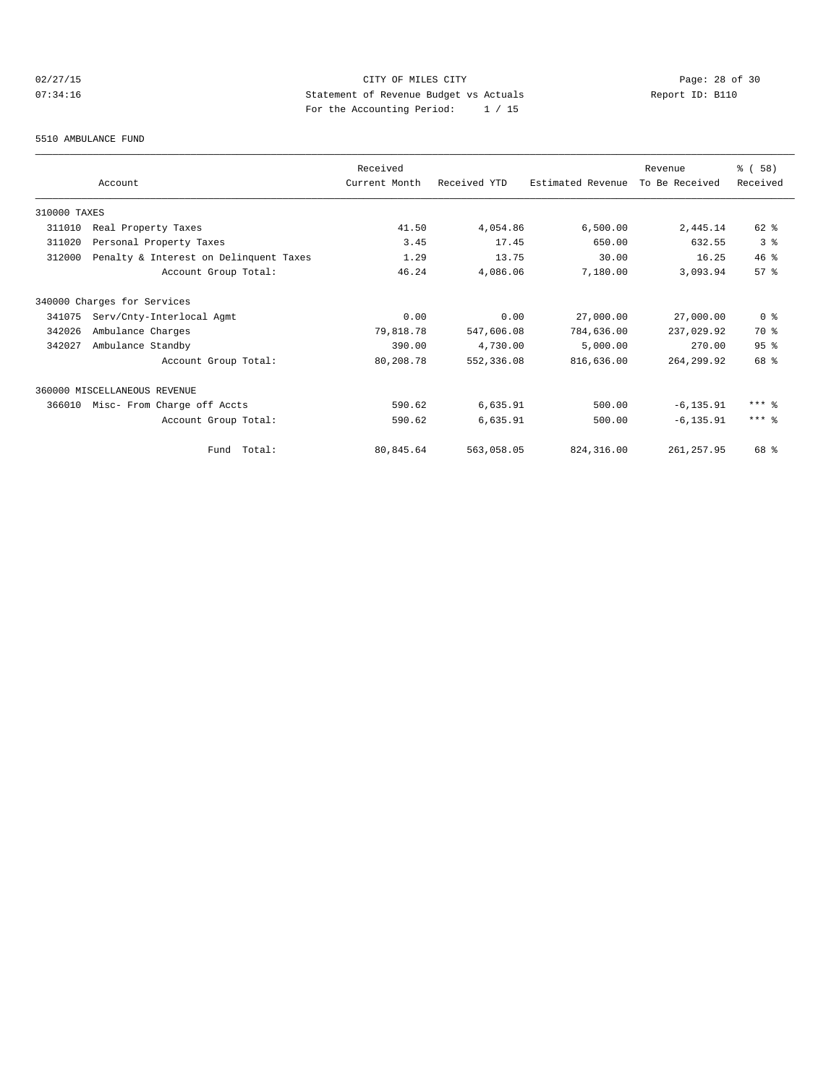## 02/27/15 **Page: 28 of 30 CITY CONSIDER CITY** CITY **Page: 28 of 30** 07:34:16 Statement of Revenue Budget vs Actuals Report ID: B110 For the Accounting Period: 1 / 15

#### 5510 AMBULANCE FUND

|              | Account                                | Received<br>Current Month | Received YTD | Estimated Revenue | Revenue<br>To Be Received | % (58)<br>Received |
|--------------|----------------------------------------|---------------------------|--------------|-------------------|---------------------------|--------------------|
|              |                                        |                           |              |                   |                           |                    |
| 310000 TAXES |                                        |                           |              |                   |                           |                    |
| 311010       | Real Property Taxes                    | 41.50                     | 4,054.86     | 6,500.00          | 2,445.14                  | 62 %               |
| 311020       | Personal Property Taxes                | 3.45                      | 17.45        | 650.00            | 632.55                    | 3%                 |
| 312000       | Penalty & Interest on Delinquent Taxes | 1.29                      | 13.75        | 30.00             | 16.25                     | $46*$              |
|              | Account Group Total:                   | 46.24                     | 4,086.06     | 7,180.00          | 3,093.94                  | 57 <sup>8</sup>    |
|              | 340000 Charges for Services            |                           |              |                   |                           |                    |
| 341075       | Serv/Cnty-Interlocal Agmt              | 0.00                      | 0.00         | 27,000.00         | 27,000.00                 | 0 <sup>8</sup>     |
| 342026       | Ambulance Charges                      | 79,818.78                 | 547,606.08   | 784,636.00        | 237,029.92                | 70 %               |
| 342027       | Ambulance Standby                      | 390.00                    | 4,730.00     | 5,000.00          | 270.00                    | 95%                |
|              | Account Group Total:                   | 80,208.78                 | 552,336.08   | 816,636.00        | 264, 299.92               | 68 %               |
|              | 360000 MISCELLANEOUS REVENUE           |                           |              |                   |                           |                    |
| 366010       | Misc- From Charge off Accts            | 590.62                    | 6,635.91     | 500.00            | $-6, 135.91$              | $***$ %            |
|              | Account Group Total:                   | 590.62                    | 6,635.91     | 500.00            | $-6, 135.91$              | $***$ 8            |
|              | Fund Total:                            | 80,845.64                 | 563,058.05   | 824, 316, 00      | 261, 257.95               | 68 %               |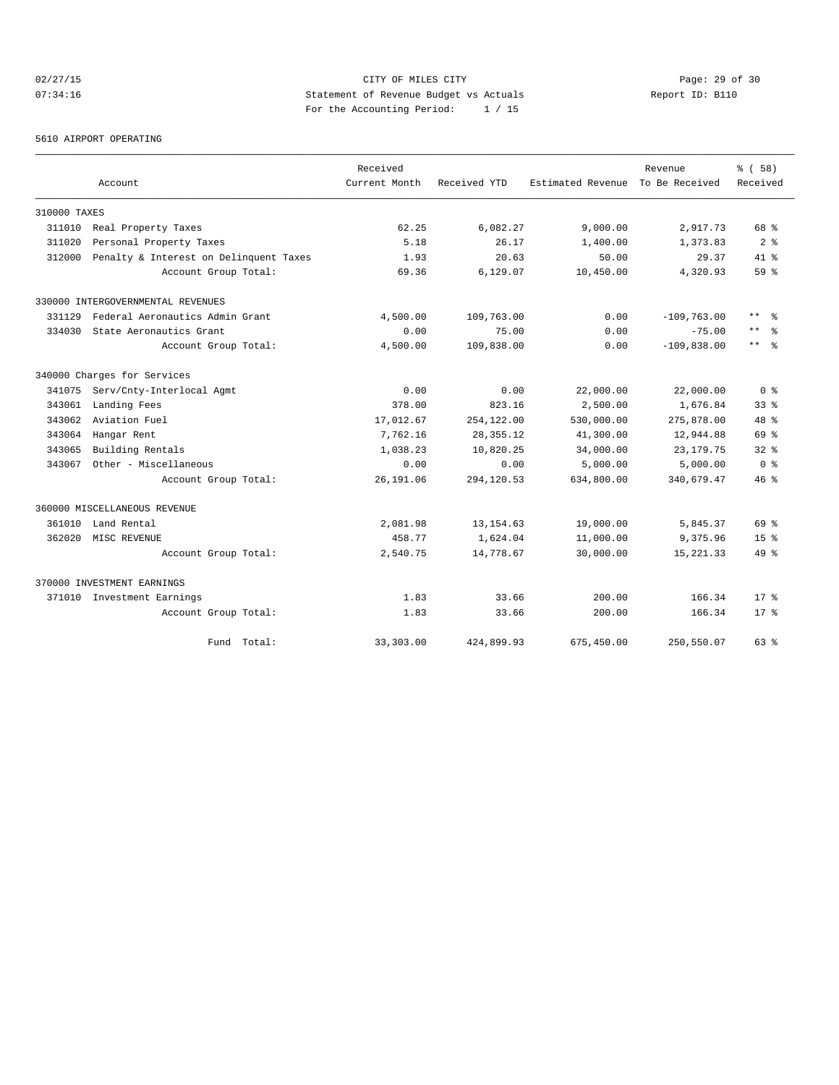## 02/27/15 **Page: 29 of 30 CITY CONSIDER CITY** CITY **Page: 29 of 30** 07:34:16 Statement of Revenue Budget vs Actuals Report ID: B110 For the Accounting Period: 1 / 15

5610 AIRPORT OPERATING

|              |                                        | Received      |              |                   | Revenue        | % ( 58 )             |
|--------------|----------------------------------------|---------------|--------------|-------------------|----------------|----------------------|
|              | Account                                | Current Month | Received YTD | Estimated Revenue | To Be Received | Received             |
| 310000 TAXES |                                        |               |              |                   |                |                      |
| 311010       | Real Property Taxes                    | 62.25         | 6,082.27     | 9,000.00          | 2,917.73       | 68 %                 |
| 311020       | Personal Property Taxes                | 5.18          | 26.17        | 1,400.00          | 1,373.83       | 2 <sup>8</sup>       |
| 312000       | Penalty & Interest on Delinquent Taxes | 1.93          | 20.63        | 50.00             | 29.37          | $41*$                |
|              | Account Group Total:                   | 69.36         | 6,129.07     | 10,450.00         | 4,320.93       | 59 %                 |
|              | 330000 INTERGOVERNMENTAL REVENUES      |               |              |                   |                |                      |
| 331129       | Federal Aeronautics Admin Grant        | 4,500.00      | 109,763.00   | 0.00              | $-109,763.00$  | $***$<br>ু ≳         |
| 334030       | State Aeronautics Grant                | 0.00          | 75.00        | 0.00              | $-75.00$       | $\star\star$         |
|              | Account Group Total:                   | 4,500.00      | 109,838.00   | 0.00              | $-109,838.00$  | $***$ $ \frac{6}{9}$ |
|              | 340000 Charges for Services            |               |              |                   |                |                      |
| 341075       | Serv/Cnty-Interlocal Agmt              | 0.00          | 0.00         | 22,000.00         | 22,000.00      | 0 <sup>8</sup>       |
| 343061       | Landing Fees                           | 378.00        | 823.16       | 2,500.00          | 1,676.84       | 33 <sup>8</sup>      |
| 343062       | Aviation Fuel                          | 17,012.67     | 254,122.00   | 530,000.00        | 275,878.00     | $48*$                |
| 343064       | Hangar Rent                            | 7,762.16      | 28, 355. 12  | 41,300.00         | 12,944.88      | 69 %                 |
| 343065       | Building Rentals                       | 1,038.23      | 10,820.25    | 34,000.00         | 23, 179. 75    | 328                  |
| 343067       | Other - Miscellaneous                  | 0.00          | 0.00         | 5,000.00          | 5,000.00       | 0 <sup>8</sup>       |
|              | Account Group Total:                   | 26, 191.06    | 294,120.53   | 634,800.00        | 340,679.47     | $46*$                |
|              | 360000 MISCELLANEOUS REVENUE           |               |              |                   |                |                      |
| 361010       | Land Rental                            | 2,081.98      | 13, 154.63   | 19,000.00         | 5,845.37       | 69 %                 |
| 362020       | MISC REVENUE                           | 458.77        | 1,624.04     | 11,000.00         | 9,375.96       | 15 <sup>8</sup>      |
|              | Account Group Total:                   | 2,540.75      | 14,778.67    | 30,000.00         | 15, 221.33     | 49 %                 |
|              | 370000 INVESTMENT EARNINGS             |               |              |                   |                |                      |
|              | 371010 Investment Earnings             | 1.83          | 33.66        | 200.00            | 166.34         | $17*$                |
|              | Account Group Total:                   | 1.83          | 33.66        | 200.00            | 166.34         | $17*$                |
|              | Fund Total:                            | 33,303.00     | 424,899.93   | 675,450.00        | 250,550.07     | $63$ $%$             |